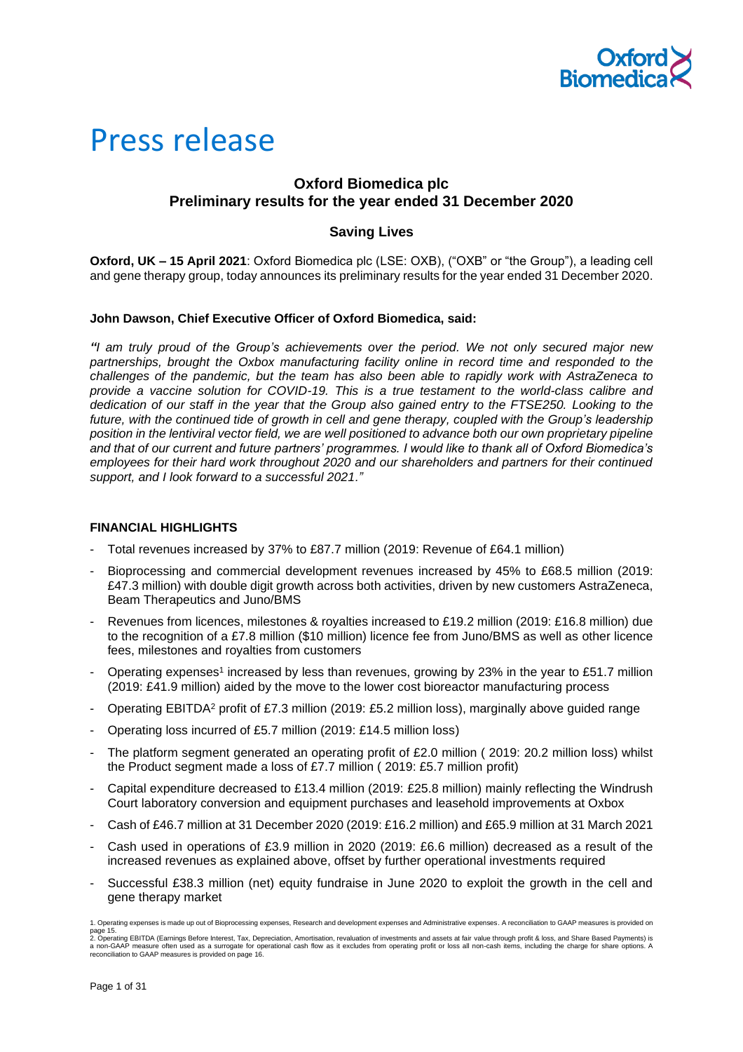

# Press release

#### **Oxford Biomedica plc Preliminary results for the year ended 31 December 2020**

#### **Saving Lives**

**Oxford, UK – 15 April 2021**: Oxford Biomedica plc (LSE: OXB), ("OXB" or "the Group"), a leading cell and gene therapy group, today announces its preliminary results for the year ended 31 December 2020.

#### **John Dawson, Chief Executive Officer of Oxford Biomedica, said:**

*"I am truly proud of the Group's achievements over the period. We not only secured major new partnerships, brought the Oxbox manufacturing facility online in record time and responded to the challenges of the pandemic, but the team has also been able to rapidly work with AstraZeneca to provide a vaccine solution for COVID-19. This is a true testament to the world-class calibre and dedication of our staff in the year that the Group also gained entry to the FTSE250. Looking to the future, with the continued tide of growth in cell and gene therapy, coupled with the Group's leadership position in the lentiviral vector field, we are well positioned to advance both our own proprietary pipeline and that of our current and future partners' programmes. I would like to thank all of Oxford Biomedica's employees for their hard work throughout 2020 and our shareholders and partners for their continued support, and I look forward to a successful 2021."*

#### **FINANCIAL HIGHLIGHTS**

- Total revenues increased by 37% to £87.7 million (2019: Revenue of £64.1 million)
- Bioprocessing and commercial development revenues increased by 45% to £68.5 million (2019: £47.3 million) with double digit growth across both activities, driven by new customers AstraZeneca, Beam Therapeutics and Juno/BMS
- Revenues from licences, milestones & royalties increased to £19.2 million (2019: £16.8 million) due to the recognition of a £7.8 million (\$10 million) licence fee from Juno/BMS as well as other licence fees, milestones and royalties from customers
- Operating expenses<sup>1</sup> increased by less than revenues, growing by 23% in the year to £51.7 million (2019: £41.9 million) aided by the move to the lower cost bioreactor manufacturing process
- Operating EBITDA<sup>2</sup> profit of £7.3 million (2019: £5.2 million loss), marginally above guided range
- Operating loss incurred of £5.7 million (2019: £14.5 million loss)
- The platform segment generated an operating profit of £2.0 million (2019: 20.2 million loss) whilst the Product segment made a loss of £7.7 million ( 2019: £5.7 million profit)
- Capital expenditure decreased to £13.4 million (2019: £25.8 million) mainly reflecting the Windrush Court laboratory conversion and equipment purchases and leasehold improvements at Oxbox
- Cash of £46.7 million at 31 December 2020 (2019: £16.2 million) and £65.9 million at 31 March 2021
- Cash used in operations of £3.9 million in 2020 (2019: £6.6 million) decreased as a result of the increased revenues as explained above, offset by further operational investments required
- Successful £38.3 million (net) equity fundraise in June 2020 to exploit the growth in the cell and gene therapy market

<sup>1.</sup> Operating expenses is made up out of Bioprocessing expenses, Research and development expenses and Administrative expenses. A reconciliation to GAAP measures is provided on

page 15.<br>2. Operating EBITDA (Earnings Before Interest, Tax, Depreciation, Amortisation, revaluation of investments and assets at fair value through profit & loss, and Share Based Payments) is a non-GAAP measure often used as a surrogate for operational cash flow as it excludes from operating profit or loss all non-cash items, including the charge for share options. A<br>reconciliation to GAAP measures is provided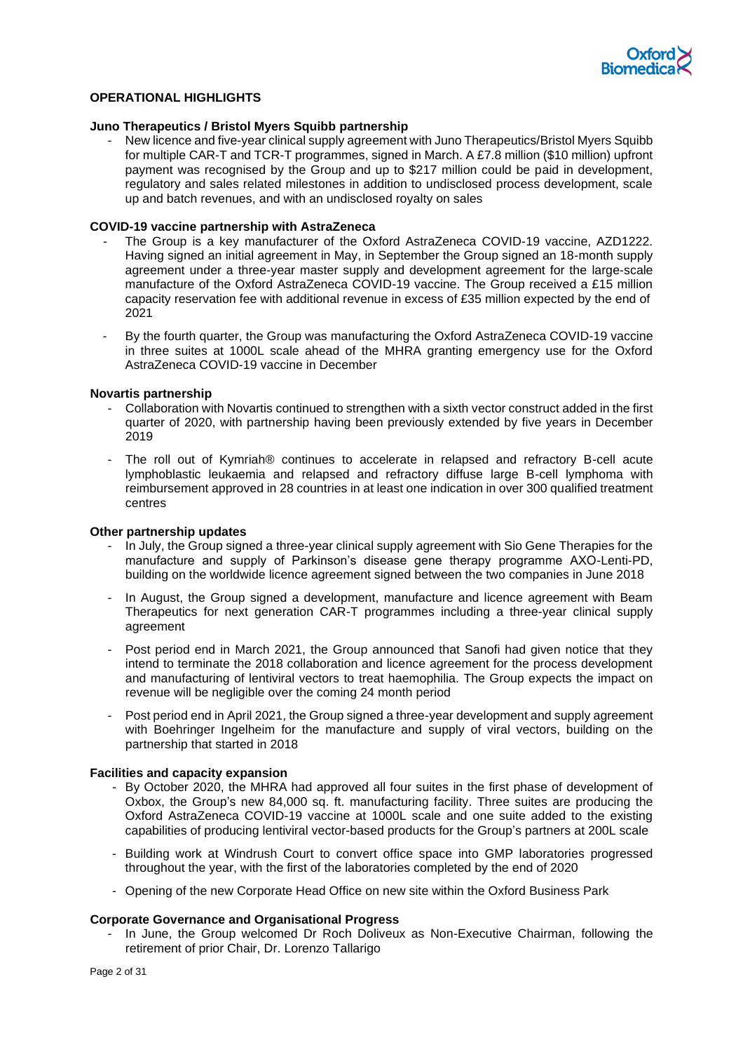

#### **OPERATIONAL HIGHLIGHTS**

#### **Juno Therapeutics / Bristol Myers Squibb partnership**

- New licence and five-year clinical supply agreement with Juno Therapeutics/Bristol Myers Squibb for multiple CAR-T and TCR-T programmes, signed in March. A £7.8 million (\$10 million) upfront payment was recognised by the Group and up to \$217 million could be paid in development, regulatory and sales related milestones in addition to undisclosed process development, scale up and batch revenues, and with an undisclosed royalty on sales

#### **COVID-19 vaccine partnership with AstraZeneca**

- The Group is a key manufacturer of the Oxford AstraZeneca COVID-19 vaccine, AZD1222. Having signed an initial agreement in May, in September the Group signed an 18-month supply agreement under a three-year master supply and development agreement for the large-scale manufacture of the Oxford AstraZeneca COVID-19 vaccine. The Group received a £15 million capacity reservation fee with additional revenue in excess of £35 million expected by the end of 2021
- By the fourth quarter, the Group was manufacturing the Oxford AstraZeneca COVID-19 vaccine in three suites at 1000L scale ahead of the MHRA granting emergency use for the Oxford AstraZeneca COVID-19 vaccine in December

#### **Novartis partnership**

- Collaboration with Novartis continued to strengthen with a sixth vector construct added in the first quarter of 2020, with partnership having been previously extended by five years in December 2019
- The roll out of Kymriah® continues to accelerate in relapsed and refractory B-cell acute lymphoblastic leukaemia and relapsed and refractory diffuse large B-cell lymphoma with reimbursement approved in 28 countries in at least one indication in over 300 qualified treatment centres

#### **Other partnership updates**

- In July, the Group signed a three-year clinical supply agreement with Sio Gene Therapies for the manufacture and supply of Parkinson's disease gene therapy programme AXO-Lenti-PD, building on the worldwide licence agreement signed between the two companies in June 2018
- In August, the Group signed a development, manufacture and licence agreement with Beam Therapeutics for next generation CAR-T programmes including a three-year clinical supply agreement
- Post period end in March 2021, the Group announced that Sanofi had given notice that they intend to terminate the 2018 collaboration and licence agreement for the process development and manufacturing of lentiviral vectors to treat haemophilia. The Group expects the impact on revenue will be negligible over the coming 24 month period
- Post period end in April 2021, the Group signed a three-year development and supply agreement with Boehringer Ingelheim for the manufacture and supply of viral vectors, building on the partnership that started in 2018

#### **Facilities and capacity expansion**

- By October 2020, the MHRA had approved all four suites in the first phase of development of Oxbox, the Group's new 84,000 sq. ft. manufacturing facility. Three suites are producing the Oxford AstraZeneca COVID-19 vaccine at 1000L scale and one suite added to the existing capabilities of producing lentiviral vector-based products for the Group's partners at 200L scale
- Building work at Windrush Court to convert office space into GMP laboratories progressed throughout the year, with the first of the laboratories completed by the end of 2020
- Opening of the new Corporate Head Office on new site within the Oxford Business Park

#### **Corporate Governance and Organisational Progress**

In June, the Group welcomed Dr Roch Doliveux as Non-Executive Chairman, following the retirement of prior Chair, Dr. Lorenzo Tallarigo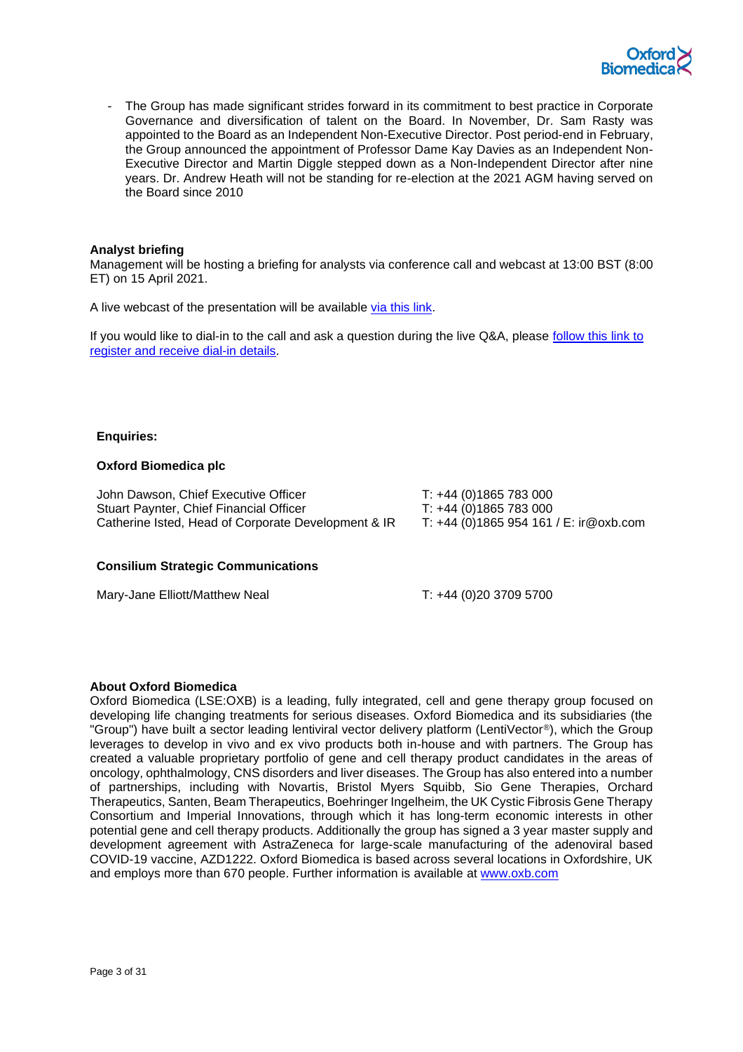

The Group has made significant strides forward in its commitment to best practice in Corporate Governance and diversification of talent on the Board. In November, Dr. Sam Rasty was appointed to the Board as an Independent Non-Executive Director. Post period-end in February, the Group announced the appointment of Professor Dame Kay Davies as an Independent Non-Executive Director and Martin Diggle stepped down as a Non-Independent Director after nine years. Dr. Andrew Heath will not be standing for re-election at the 2021 AGM having served on the Board since 2010

#### **Analyst briefing**

Management will be hosting a briefing for analysts via conference call and webcast at 13:00 BST (8:00 ET) on 15 April 2021.

A live webcast of the presentation will be available [via this link.](https://www.lsegissuerservices.com/spark/OxfordBioMedicaUnitedKingdom/events/fed76c0a-c864-487d-a12b-603acbb24af8)

If you would like to dial-in to the call and ask a question during the live Q&A, please [follow this link to](https://cossprereg.btci.com/prereg/key.process?key=PVHYXDLWY) register and [receive dial-in details.](https://cossprereg.btci.com/prereg/key.process?key=PVHYXDLWY)

#### **Enquiries:**

#### **Oxford Biomedica plc**

John Dawson, Chief Executive Officer Stuart Paynter, Chief Financial Officer Catherine Isted, Head of Corporate Development & IR

T: +44 (0)1865 783 000 T: +44 (0)1865 783 000 T: +44 (0)1865 954 161 / E: ir@oxb.com

#### **Consilium Strategic Communications**

Mary-Jane Elliott/Matthew Neal T: +44 (0)20 3709 5700

#### **About Oxford Biomedica**

Oxford Biomedica (LSE:OXB) is a leading, fully integrated, cell and gene therapy group focused on developing life changing treatments for serious diseases. Oxford Biomedica and its subsidiaries (the "Group") have built a sector leading lentiviral vector delivery platform (LentiVector®), which the Group leverages to develop in vivo and ex vivo products both in-house and with partners. The Group has created a valuable proprietary portfolio of gene and cell therapy product candidates in the areas of oncology, ophthalmology, CNS disorders and liver diseases. The Group has also entered into a number of partnerships, including with Novartis, Bristol Myers Squibb, Sio Gene Therapies, Orchard Therapeutics, Santen, Beam Therapeutics, Boehringer Ingelheim, the UK Cystic Fibrosis Gene Therapy Consortium and Imperial Innovations, through which it has long-term economic interests in other potential gene and cell therapy products. Additionally the group has signed a 3 year master supply and development agreement with AstraZeneca for large-scale manufacturing of the adenoviral based COVID-19 vaccine, AZD1222. Oxford Biomedica is based across several locations in Oxfordshire, UK and employs more than 670 people. Further information is available at [www.oxb.com](http://www.oxb.com/)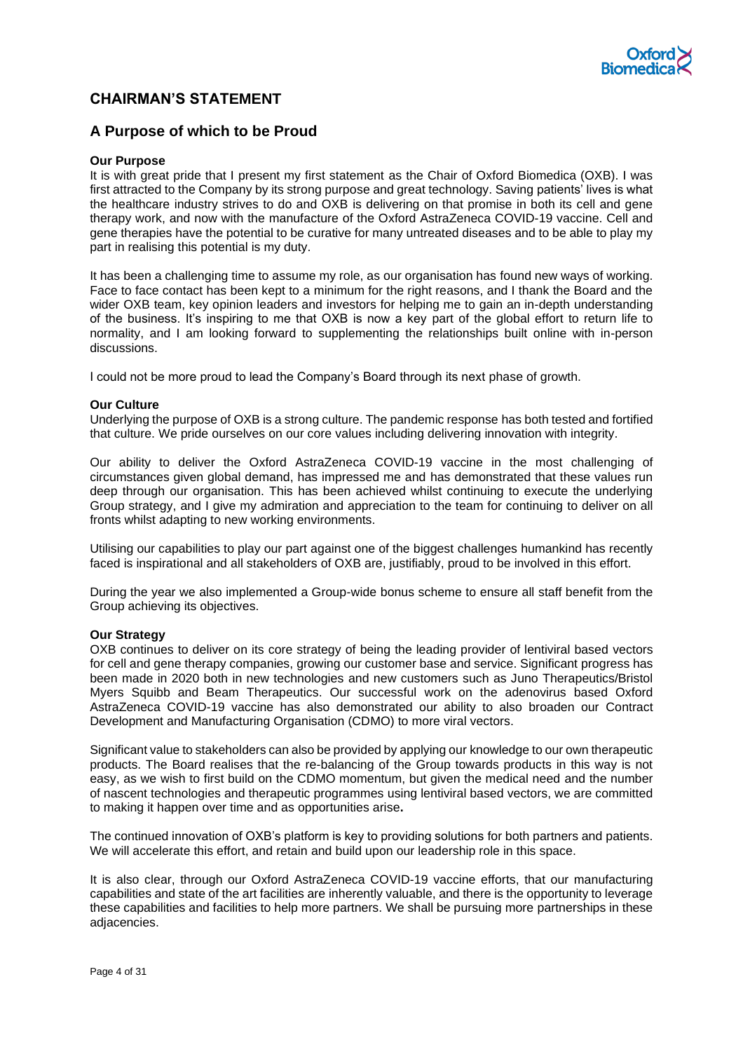

#### **CHAIRMAN'S STATEMENT**

#### **A Purpose of which to be Proud**

#### **Our Purpose**

It is with great pride that I present my first statement as the Chair of Oxford Biomedica (OXB). I was first attracted to the Company by its strong purpose and great technology. Saving patients' lives is what the healthcare industry strives to do and OXB is delivering on that promise in both its cell and gene therapy work, and now with the manufacture of the Oxford AstraZeneca COVID-19 vaccine. Cell and gene therapies have the potential to be curative for many untreated diseases and to be able to play my part in realising this potential is my duty.

It has been a challenging time to assume my role, as our organisation has found new ways of working. Face to face contact has been kept to a minimum for the right reasons, and I thank the Board and the wider OXB team, key opinion leaders and investors for helping me to gain an in-depth understanding of the business. It's inspiring to me that OXB is now a key part of the global effort to return life to normality, and I am looking forward to supplementing the relationships built online with in-person discussions.

I could not be more proud to lead the Company's Board through its next phase of growth.

#### **Our Culture**

Underlying the purpose of OXB is a strong culture. The pandemic response has both tested and fortified that culture. We pride ourselves on our core values including delivering innovation with integrity.

Our ability to deliver the Oxford AstraZeneca COVID-19 vaccine in the most challenging of circumstances given global demand, has impressed me and has demonstrated that these values run deep through our organisation. This has been achieved whilst continuing to execute the underlying Group strategy, and I give my admiration and appreciation to the team for continuing to deliver on all fronts whilst adapting to new working environments.

Utilising our capabilities to play our part against one of the biggest challenges humankind has recently faced is inspirational and all stakeholders of OXB are, justifiably, proud to be involved in this effort.

During the year we also implemented a Group-wide bonus scheme to ensure all staff benefit from the Group achieving its objectives.

#### **Our Strategy**

OXB continues to deliver on its core strategy of being the leading provider of lentiviral based vectors for cell and gene therapy companies, growing our customer base and service. Significant progress has been made in 2020 both in new technologies and new customers such as Juno Therapeutics/Bristol Myers Squibb and Beam Therapeutics. Our successful work on the adenovirus based Oxford AstraZeneca COVID-19 vaccine has also demonstrated our ability to also broaden our Contract Development and Manufacturing Organisation (CDMO) to more viral vectors.

Significant value to stakeholders can also be provided by applying our knowledge to our own therapeutic products. The Board realises that the re-balancing of the Group towards products in this way is not easy, as we wish to first build on the CDMO momentum, but given the medical need and the number of nascent technologies and therapeutic programmes using lentiviral based vectors, we are committed to making it happen over time and as opportunities arise**.**

The continued innovation of OXB's platform is key to providing solutions for both partners and patients. We will accelerate this effort, and retain and build upon our leadership role in this space.

It is also clear, through our Oxford AstraZeneca COVID-19 vaccine efforts, that our manufacturing capabilities and state of the art facilities are inherently valuable, and there is the opportunity to leverage these capabilities and facilities to help more partners. We shall be pursuing more partnerships in these adjacencies.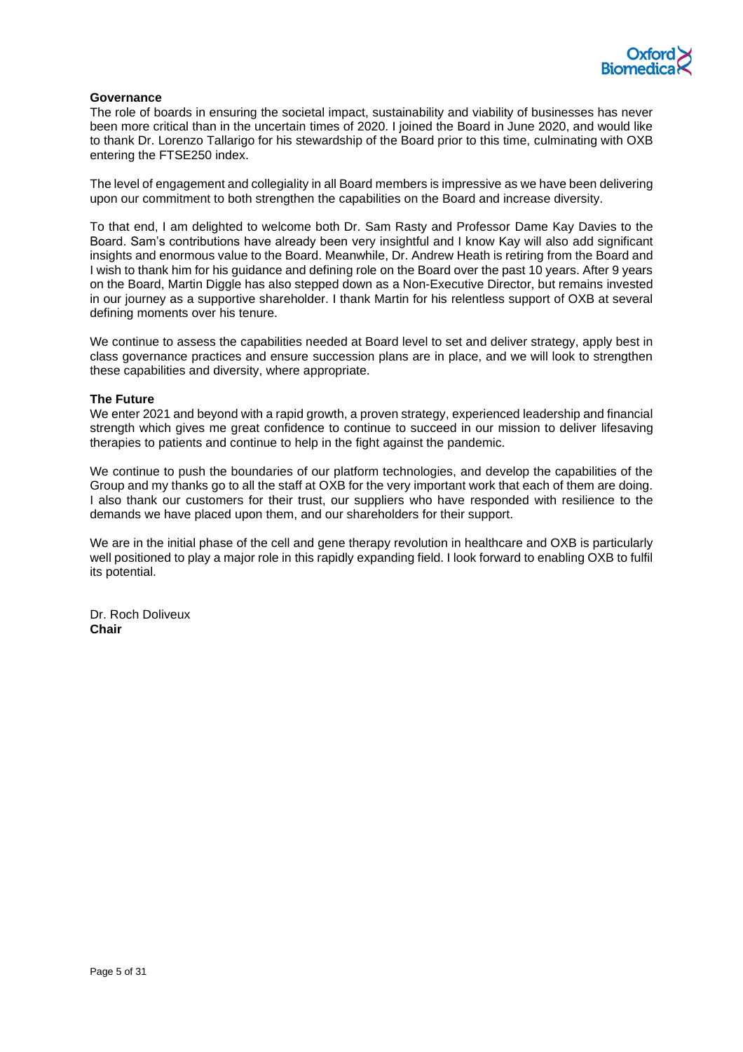

#### **Governance**

The role of boards in ensuring the societal impact, sustainability and viability of businesses has never been more critical than in the uncertain times of 2020. I joined the Board in June 2020, and would like to thank Dr. Lorenzo Tallarigo for his stewardship of the Board prior to this time, culminating with OXB entering the FTSE250 index.

The level of engagement and collegiality in all Board members is impressive as we have been delivering upon our commitment to both strengthen the capabilities on the Board and increase diversity.

To that end, I am delighted to welcome both Dr. Sam Rasty and Professor Dame Kay Davies to the Board. Sam's contributions have already been very insightful and I know Kay will also add significant insights and enormous value to the Board. Meanwhile, Dr. Andrew Heath is retiring from the Board and I wish to thank him for his guidance and defining role on the Board over the past 10 years. After 9 years on the Board, Martin Diggle has also stepped down as a Non-Executive Director, but remains invested in our journey as a supportive shareholder. I thank Martin for his relentless support of OXB at several defining moments over his tenure.

We continue to assess the capabilities needed at Board level to set and deliver strategy, apply best in class governance practices and ensure succession plans are in place, and we will look to strengthen these capabilities and diversity, where appropriate.

#### **The Future**

We enter 2021 and beyond with a rapid growth, a proven strategy, experienced leadership and financial strength which gives me great confidence to continue to succeed in our mission to deliver lifesaving therapies to patients and continue to help in the fight against the pandemic.

We continue to push the boundaries of our platform technologies, and develop the capabilities of the Group and my thanks go to all the staff at OXB for the very important work that each of them are doing. I also thank our customers for their trust, our suppliers who have responded with resilience to the demands we have placed upon them, and our shareholders for their support.

We are in the initial phase of the cell and gene therapy revolution in healthcare and OXB is particularly well positioned to play a major role in this rapidly expanding field. I look forward to enabling OXB to fulfil its potential.

Dr. Roch Doliveux **Chair**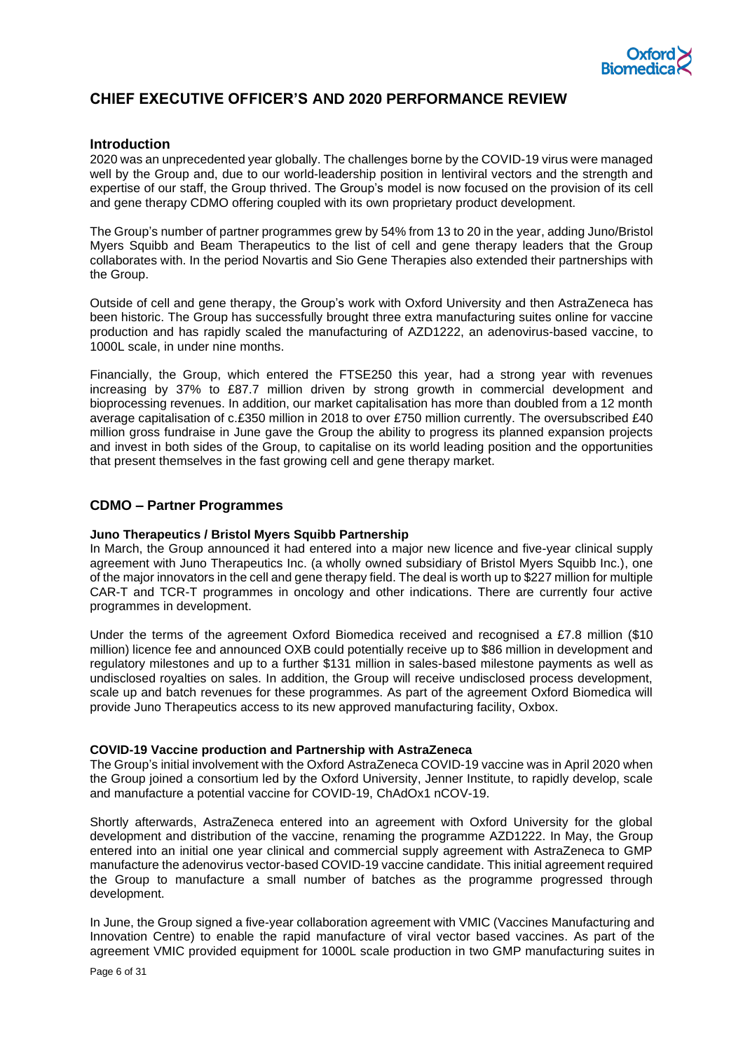

### **CHIEF EXECUTIVE OFFICER'S AND 2020 PERFORMANCE REVIEW**

#### **Introduction**

2020 was an unprecedented year globally. The challenges borne by the COVID-19 virus were managed well by the Group and, due to our world-leadership position in lentiviral vectors and the strength and expertise of our staff, the Group thrived. The Group's model is now focused on the provision of its cell and gene therapy CDMO offering coupled with its own proprietary product development.

The Group's number of partner programmes grew by 54% from 13 to 20 in the year, adding Juno/Bristol Myers Squibb and Beam Therapeutics to the list of cell and gene therapy leaders that the Group collaborates with. In the period Novartis and Sio Gene Therapies also extended their partnerships with the Group.

Outside of cell and gene therapy, the Group's work with Oxford University and then AstraZeneca has been historic. The Group has successfully brought three extra manufacturing suites online for vaccine production and has rapidly scaled the manufacturing of AZD1222, an adenovirus-based vaccine, to 1000L scale, in under nine months.

Financially, the Group, which entered the FTSE250 this year, had a strong year with revenues increasing by 37% to £87.7 million driven by strong growth in commercial development and bioprocessing revenues. In addition, our market capitalisation has more than doubled from a 12 month average capitalisation of c.£350 million in 2018 to over £750 million currently. The oversubscribed £40 million gross fundraise in June gave the Group the ability to progress its planned expansion projects and invest in both sides of the Group, to capitalise on its world leading position and the opportunities that present themselves in the fast growing cell and gene therapy market.

#### **CDMO – Partner Programmes**

#### **Juno Therapeutics / Bristol Myers Squibb Partnership**

In March, the Group announced it had entered into a major new licence and five-year clinical supply agreement with Juno Therapeutics Inc. (a wholly owned subsidiary of Bristol Myers Squibb Inc.), one of the major innovators in the cell and gene therapy field. The deal is worth up to \$227 million for multiple CAR-T and TCR-T programmes in oncology and other indications. There are currently four active programmes in development.

Under the terms of the agreement Oxford Biomedica received and recognised a £7.8 million (\$10 million) licence fee and announced OXB could potentially receive up to \$86 million in development and regulatory milestones and up to a further \$131 million in sales-based milestone payments as well as undisclosed royalties on sales. In addition, the Group will receive undisclosed process development, scale up and batch revenues for these programmes. As part of the agreement Oxford Biomedica will provide Juno Therapeutics access to its new approved manufacturing facility, Oxbox.

#### **COVID-19 Vaccine production and Partnership with AstraZeneca**

The Group's initial involvement with the Oxford AstraZeneca COVID-19 vaccine was in April 2020 when the Group joined a consortium led by the Oxford University, Jenner Institute, to rapidly develop, scale and manufacture a potential vaccine for COVID-19, ChAdOx1 nCOV-19.

Shortly afterwards, AstraZeneca entered into an agreement with Oxford University for the global development and distribution of the vaccine, renaming the programme AZD1222. In May, the Group entered into an initial one year clinical and commercial supply agreement with AstraZeneca to GMP manufacture the adenovirus vector-based COVID-19 vaccine candidate. This initial agreement required the Group to manufacture a small number of batches as the programme progressed through development.

In June, the Group signed a five-year collaboration agreement with VMIC (Vaccines Manufacturing and Innovation Centre) to enable the rapid manufacture of viral vector based vaccines. As part of the agreement VMIC provided equipment for 1000L scale production in two GMP manufacturing suites in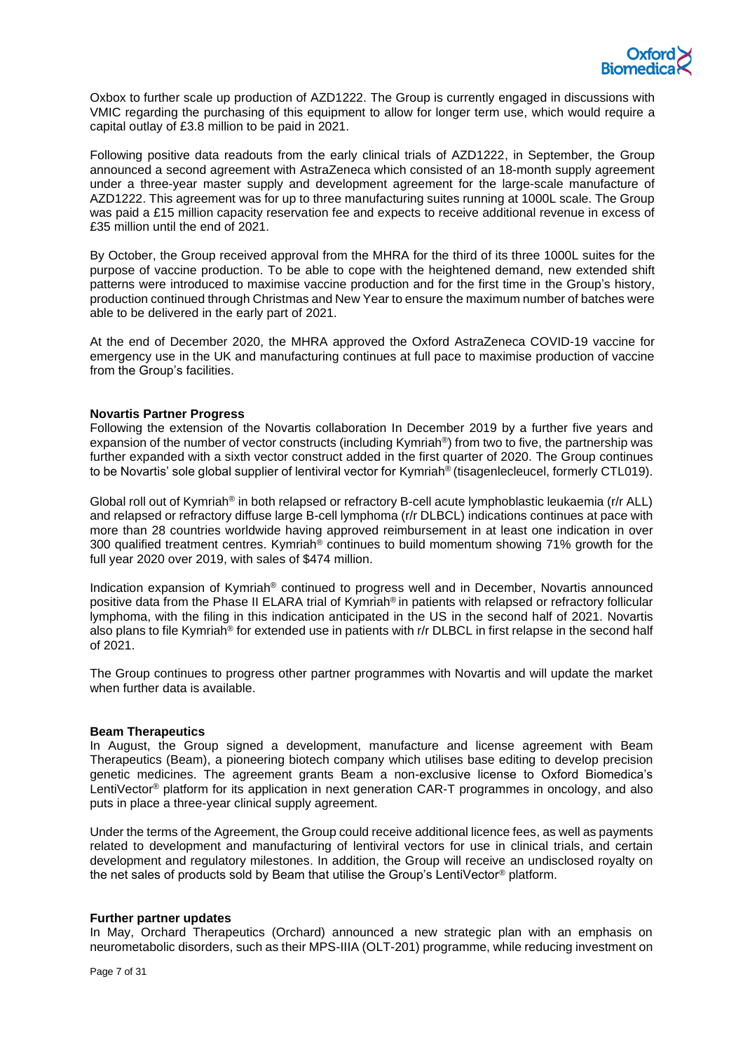

Oxbox to further scale up production of AZD1222. The Group is currently engaged in discussions with VMIC regarding the purchasing of this equipment to allow for longer term use, which would require a capital outlay of £3.8 million to be paid in 2021.

Following positive data readouts from the early clinical trials of AZD1222, in September, the Group announced a second agreement with AstraZeneca which consisted of an 18-month supply agreement under a three-year master supply and development agreement for the large-scale manufacture of AZD1222. This agreement was for up to three manufacturing suites running at 1000L scale. The Group was paid a £15 million capacity reservation fee and expects to receive additional revenue in excess of £35 million until the end of 2021.

By October, the Group received approval from the MHRA for the third of its three 1000L suites for the purpose of vaccine production. To be able to cope with the heightened demand, new extended shift patterns were introduced to maximise vaccine production and for the first time in the Group's history, production continued through Christmas and New Year to ensure the maximum number of batches were able to be delivered in the early part of 2021.

At the end of December 2020, the MHRA approved the Oxford AstraZeneca COVID-19 vaccine for emergency use in the UK and manufacturing continues at full pace to maximise production of vaccine from the Group's facilities.

#### **Novartis Partner Progress**

Following the extension of the Novartis collaboration In December 2019 by a further five years and expansion of the number of vector constructs (including Kymriah®) from two to five, the partnership was further expanded with a sixth vector construct added in the first quarter of 2020. The Group continues to be Novartis' sole global supplier of lentiviral vector for Kymriah<sup>®</sup> (tisagenlecleucel, formerly CTL019).

Global roll out of Kymriah® in both relapsed or refractory B-cell acute lymphoblastic leukaemia (r/r ALL) and relapsed or refractory diffuse large B-cell lymphoma (r/r DLBCL) indications continues at pace with more than 28 countries worldwide having approved reimbursement in at least one indication in over 300 qualified treatment centres. Kymriah® continues to build momentum showing 71% growth for the full year 2020 over 2019, with sales of \$474 million.

Indication expansion of Kymriah® continued to progress well and in December, Novartis announced positive data from the Phase II ELARA trial of Kymriah<sup>®</sup> in patients with relapsed or refractory follicular lymphoma, with the filing in this indication anticipated in the US in the second half of 2021. Novartis also plans to file Kymriah<sup>®</sup> for extended use in patients with r/r DLBCL in first relapse in the second half of 2021.

The Group continues to progress other partner programmes with Novartis and will update the market when further data is available.

#### **Beam Therapeutics**

In August, the Group signed a development, manufacture and license agreement with Beam Therapeutics (Beam), a pioneering biotech company which utilises base editing to develop precision genetic medicines. The agreement grants Beam a non-exclusive license to Oxford Biomedica's LentiVector® platform for its application in next generation CAR-T programmes in oncology, and also puts in place a three-year clinical supply agreement.

Under the terms of the Agreement, the Group could receive additional licence fees, as well as payments related to development and manufacturing of lentiviral vectors for use in clinical trials, and certain development and regulatory milestones. In addition, the Group will receive an undisclosed royalty on the net sales of products sold by Beam that utilise the Group's LentiVector® platform.

#### **Further partner updates**

In May, Orchard Therapeutics (Orchard) announced a new strategic plan with an emphasis on neurometabolic disorders, such as their MPS-IIIA (OLT-201) programme, while reducing investment on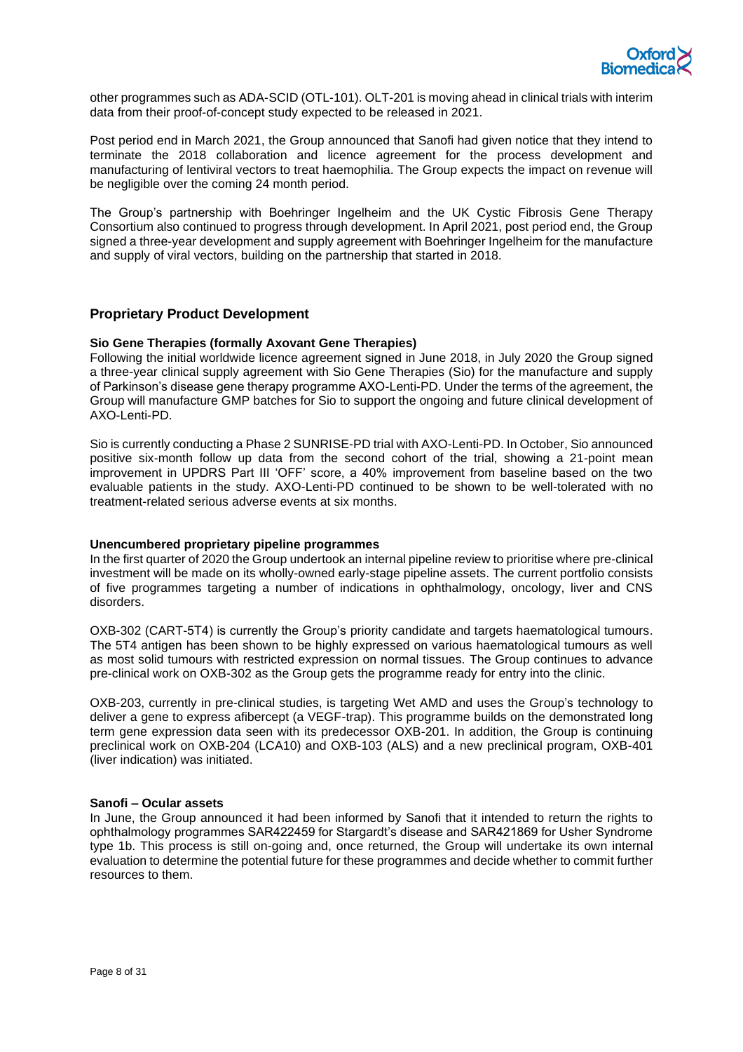

other programmes such as ADA-SCID (OTL-101). OLT-201 is moving ahead in clinical trials with interim data from their proof-of-concept study expected to be released in 2021.

Post period end in March 2021, the Group announced that Sanofi had given notice that they intend to terminate the 2018 collaboration and licence agreement for the process development and manufacturing of lentiviral vectors to treat haemophilia. The Group expects the impact on revenue will be negligible over the coming 24 month period.

The Group's partnership with Boehringer Ingelheim and the UK Cystic Fibrosis Gene Therapy Consortium also continued to progress through development. In April 2021, post period end, the Group signed a three-year development and supply agreement with Boehringer Ingelheim for the manufacture and supply of viral vectors, building on the partnership that started in 2018.

#### **Proprietary Product Development**

#### **Sio Gene Therapies (formally Axovant Gene Therapies)**

Following the initial worldwide licence agreement signed in June 2018, in July 2020 the Group signed a three-year clinical supply agreement with Sio Gene Therapies (Sio) for the manufacture and supply of Parkinson's disease gene therapy programme AXO-Lenti-PD. Under the terms of the agreement, the Group will manufacture GMP batches for Sio to support the ongoing and future clinical development of AXO-Lenti-PD.

Sio is currently conducting a Phase 2 SUNRISE-PD trial with AXO-Lenti-PD. In October, Sio announced positive six-month follow up data from the second cohort of the trial, showing a 21-point mean improvement in UPDRS Part III 'OFF' score, a 40% improvement from baseline based on the two evaluable patients in the study. AXO-Lenti-PD continued to be shown to be well-tolerated with no treatment-related serious adverse events at six months.

#### **Unencumbered proprietary pipeline programmes**

In the first quarter of 2020 the Group undertook an internal pipeline review to prioritise where pre-clinical investment will be made on its wholly-owned early-stage pipeline assets. The current portfolio consists of five programmes targeting a number of indications in ophthalmology, oncology, liver and CNS disorders.

OXB-302 (CART-5T4) is currently the Group's priority candidate and targets haematological tumours. The 5T4 antigen has been shown to be highly expressed on various haematological tumours as well as most solid tumours with restricted expression on normal tissues. The Group continues to advance pre-clinical work on OXB-302 as the Group gets the programme ready for entry into the clinic.

OXB-203, currently in pre-clinical studies, is targeting Wet AMD and uses the Group's technology to deliver a gene to express afibercept (a VEGF-trap). This programme builds on the demonstrated long term gene expression data seen with its predecessor OXB-201. In addition, the Group is continuing preclinical work on OXB-204 (LCA10) and OXB-103 (ALS) and a new preclinical program, OXB-401 (liver indication) was initiated.

#### **Sanofi – Ocular assets**

In June, the Group announced it had been informed by Sanofi that it intended to return the rights to ophthalmology programmes SAR422459 for Stargardt's disease and SAR421869 for Usher Syndrome type 1b. This process is still on-going and, once returned, the Group will undertake its own internal evaluation to determine the potential future for these programmes and decide whether to commit further resources to them.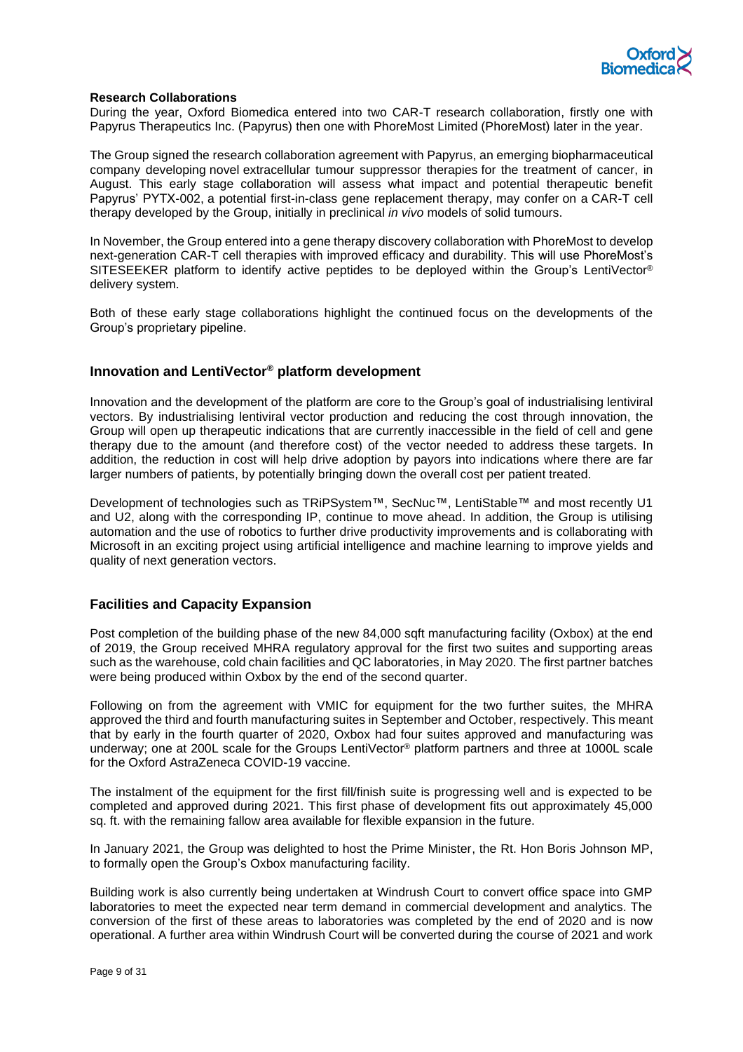

#### **Research Collaborations**

During the year, Oxford Biomedica entered into two CAR-T research collaboration, firstly one with Papyrus Therapeutics Inc. (Papyrus) then one with PhoreMost Limited (PhoreMost) later in the year.

The Group signed the research collaboration agreement with Papyrus, an emerging biopharmaceutical company developing novel extracellular tumour suppressor therapies for the treatment of cancer, in August. This early stage collaboration will assess what impact and potential therapeutic benefit Papyrus' PYTX-002, a potential first-in-class gene replacement therapy, may confer on a CAR-T cell therapy developed by the Group, initially in preclinical *in vivo* models of solid tumours.

In November, the Group entered into a gene therapy discovery collaboration with PhoreMost to develop next-generation CAR-T cell therapies with improved efficacy and durability. This will use PhoreMost's SITESEEKER platform to identify active peptides to be deployed within the Group's LentiVector® delivery system.

Both of these early stage collaborations highlight the continued focus on the developments of the Group's proprietary pipeline.

#### **Innovation and LentiVector® platform development**

Innovation and the development of the platform are core to the Group's goal of industrialising lentiviral vectors. By industrialising lentiviral vector production and reducing the cost through innovation, the Group will open up therapeutic indications that are currently inaccessible in the field of cell and gene therapy due to the amount (and therefore cost) of the vector needed to address these targets. In addition, the reduction in cost will help drive adoption by payors into indications where there are far larger numbers of patients, by potentially bringing down the overall cost per patient treated.

Development of technologies such as TRiPSystem™, SecNuc™, LentiStable™ and most recently U1 and U2, along with the corresponding IP, continue to move ahead. In addition, the Group is utilising automation and the use of robotics to further drive productivity improvements and is collaborating with Microsoft in an exciting project using artificial intelligence and machine learning to improve yields and quality of next generation vectors.

#### **Facilities and Capacity Expansion**

Post completion of the building phase of the new 84,000 sqft manufacturing facility (Oxbox) at the end of 2019, the Group received MHRA regulatory approval for the first two suites and supporting areas such as the warehouse, cold chain facilities and QC laboratories, in May 2020. The first partner batches were being produced within Oxbox by the end of the second quarter.

Following on from the agreement with VMIC for equipment for the two further suites, the MHRA approved the third and fourth manufacturing suites in September and October, respectively. This meant that by early in the fourth quarter of 2020, Oxbox had four suites approved and manufacturing was underway; one at 200L scale for the Groups LentiVector® platform partners and three at 1000L scale for the Oxford AstraZeneca COVID-19 vaccine.

The instalment of the equipment for the first fill/finish suite is progressing well and is expected to be completed and approved during 2021. This first phase of development fits out approximately 45,000 sq. ft. with the remaining fallow area available for flexible expansion in the future.

In January 2021, the Group was delighted to host the Prime Minister, the Rt. Hon Boris Johnson MP, to formally open the Group's Oxbox manufacturing facility.

Building work is also currently being undertaken at Windrush Court to convert office space into GMP laboratories to meet the expected near term demand in commercial development and analytics. The conversion of the first of these areas to laboratories was completed by the end of 2020 and is now operational. A further area within Windrush Court will be converted during the course of 2021 and work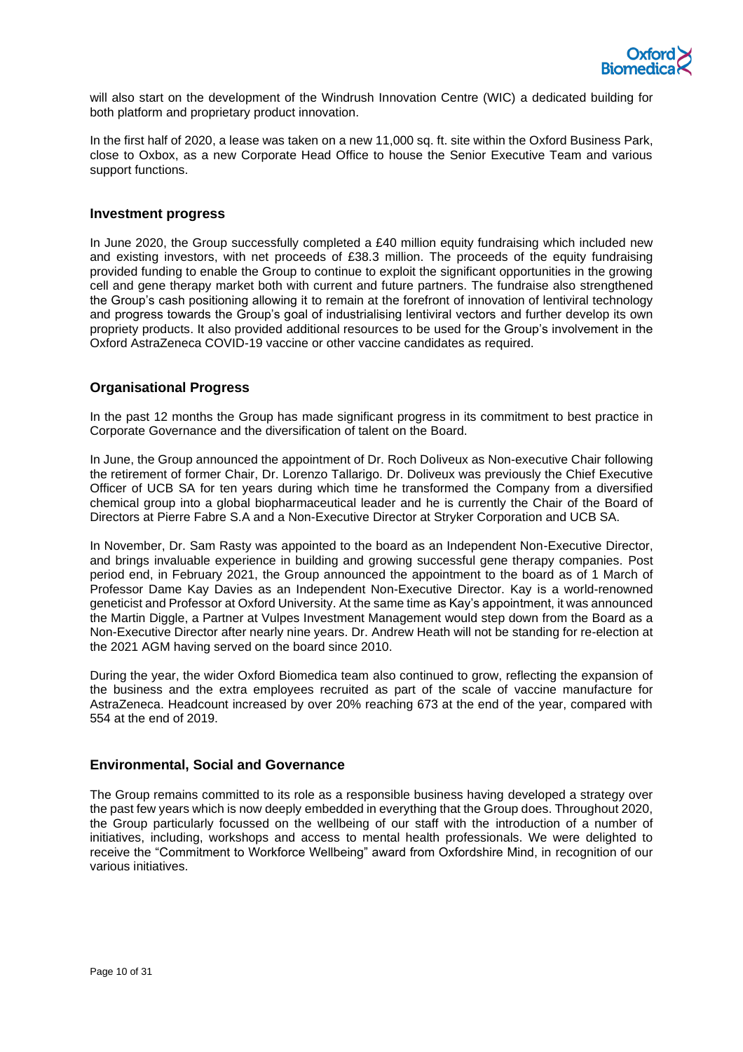

will also start on the development of the Windrush Innovation Centre (WIC) a dedicated building for both platform and proprietary product innovation.

In the first half of 2020, a lease was taken on a new 11,000 sq. ft. site within the Oxford Business Park, close to Oxbox, as a new Corporate Head Office to house the Senior Executive Team and various support functions.

#### **Investment progress**

In June 2020, the Group successfully completed a £40 million equity fundraising which included new and existing investors, with net proceeds of £38.3 million. The proceeds of the equity fundraising provided funding to enable the Group to continue to exploit the significant opportunities in the growing cell and gene therapy market both with current and future partners. The fundraise also strengthened the Group's cash positioning allowing it to remain at the forefront of innovation of lentiviral technology and progress towards the Group's goal of industrialising lentiviral vectors and further develop its own propriety products. It also provided additional resources to be used for the Group's involvement in the Oxford AstraZeneca COVID-19 vaccine or other vaccine candidates as required.

#### **Organisational Progress**

In the past 12 months the Group has made significant progress in its commitment to best practice in Corporate Governance and the diversification of talent on the Board.

In June, the Group announced the appointment of Dr. Roch Doliveux as Non-executive Chair following the retirement of former Chair, Dr. Lorenzo Tallarigo. Dr. Doliveux was previously the Chief Executive Officer of UCB SA for ten years during which time he transformed the Company from a diversified chemical group into a global biopharmaceutical leader and he is currently the Chair of the Board of Directors at Pierre Fabre S.A and a Non-Executive Director at Stryker Corporation and UCB SA.

In November, Dr. Sam Rasty was appointed to the board as an Independent Non-Executive Director, and brings invaluable experience in building and growing successful gene therapy companies. Post period end, in February 2021, the Group announced the appointment to the board as of 1 March of Professor Dame Kay Davies as an Independent Non-Executive Director. Kay is a world-renowned geneticist and Professor at Oxford University. At the same time as Kay's appointment, it was announced the Martin Diggle, a Partner at Vulpes Investment Management would step down from the Board as a Non-Executive Director after nearly nine years. Dr. Andrew Heath will not be standing for re-election at the 2021 AGM having served on the board since 2010.

During the year, the wider Oxford Biomedica team also continued to grow, reflecting the expansion of the business and the extra employees recruited as part of the scale of vaccine manufacture for AstraZeneca. Headcount increased by over 20% reaching 673 at the end of the year, compared with 554 at the end of 2019.

#### **Environmental, Social and Governance**

The Group remains committed to its role as a responsible business having developed a strategy over the past few years which is now deeply embedded in everything that the Group does. Throughout 2020, the Group particularly focussed on the wellbeing of our staff with the introduction of a number of initiatives, including, workshops and access to mental health professionals. We were delighted to receive the "Commitment to Workforce Wellbeing" award from Oxfordshire Mind, in recognition of our various initiatives.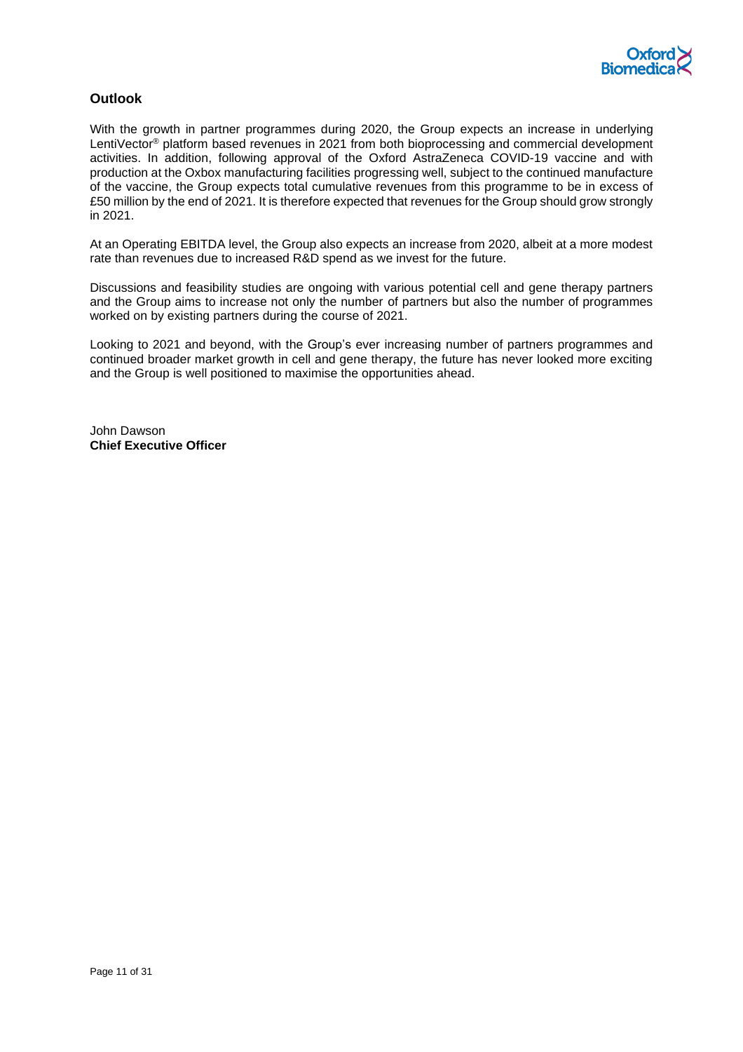

#### **Outlook**

With the growth in partner programmes during 2020, the Group expects an increase in underlying LentiVector® platform based revenues in 2021 from both bioprocessing and commercial development activities. In addition, following approval of the Oxford AstraZeneca COVID-19 vaccine and with production at the Oxbox manufacturing facilities progressing well, subject to the continued manufacture of the vaccine, the Group expects total cumulative revenues from this programme to be in excess of £50 million by the end of 2021. It is therefore expected that revenues for the Group should grow strongly in 2021.

At an Operating EBITDA level, the Group also expects an increase from 2020, albeit at a more modest rate than revenues due to increased R&D spend as we invest for the future.

Discussions and feasibility studies are ongoing with various potential cell and gene therapy partners and the Group aims to increase not only the number of partners but also the number of programmes worked on by existing partners during the course of 2021.

Looking to 2021 and beyond, with the Group's ever increasing number of partners programmes and continued broader market growth in cell and gene therapy, the future has never looked more exciting and the Group is well positioned to maximise the opportunities ahead.

John Dawson **Chief Executive Officer**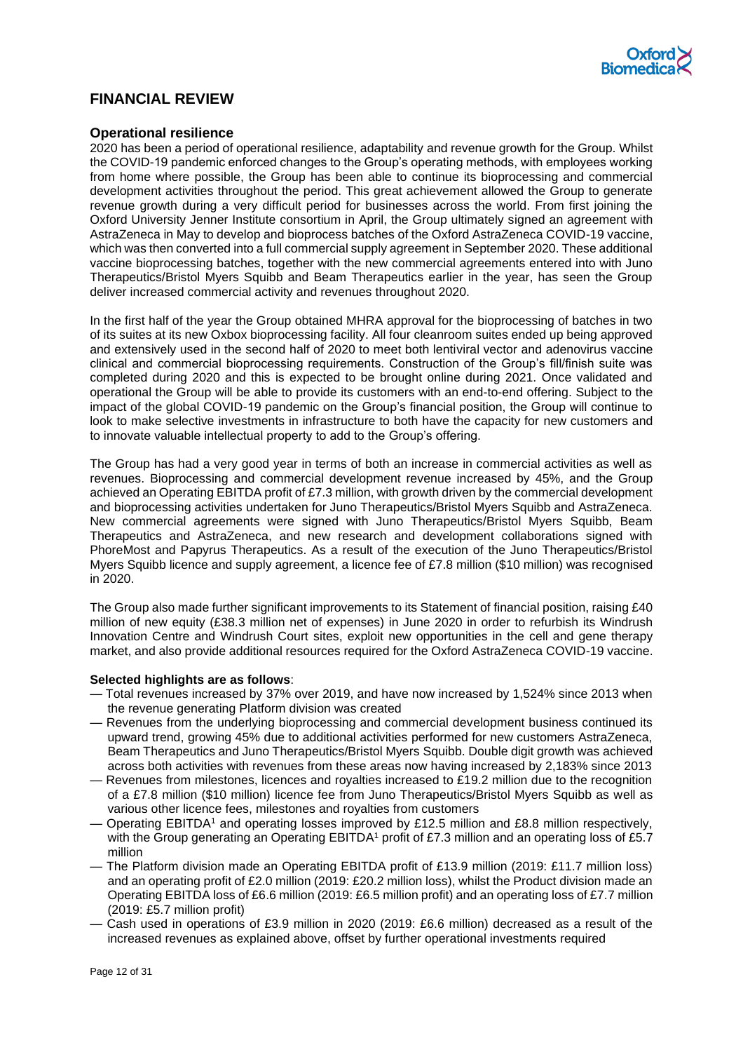

#### **FINANCIAL REVIEW**

#### **Operational resilience**

2020 has been a period of operational resilience, adaptability and revenue growth for the Group. Whilst the COVID-19 pandemic enforced changes to the Group's operating methods, with employees working from home where possible, the Group has been able to continue its bioprocessing and commercial development activities throughout the period. This great achievement allowed the Group to generate revenue growth during a very difficult period for businesses across the world. From first joining the Oxford University Jenner Institute consortium in April, the Group ultimately signed an agreement with AstraZeneca in May to develop and bioprocess batches of the Oxford AstraZeneca COVID-19 vaccine, which was then converted into a full commercial supply agreement in September 2020. These additional vaccine bioprocessing batches, together with the new commercial agreements entered into with Juno Therapeutics/Bristol Myers Squibb and Beam Therapeutics earlier in the year, has seen the Group deliver increased commercial activity and revenues throughout 2020.

In the first half of the year the Group obtained MHRA approval for the bioprocessing of batches in two of its suites at its new Oxbox bioprocessing facility. All four cleanroom suites ended up being approved and extensively used in the second half of 2020 to meet both lentiviral vector and adenovirus vaccine clinical and commercial bioprocessing requirements. Construction of the Group's fill/finish suite was completed during 2020 and this is expected to be brought online during 2021. Once validated and operational the Group will be able to provide its customers with an end-to-end offering. Subject to the impact of the global COVID-19 pandemic on the Group's financial position, the Group will continue to look to make selective investments in infrastructure to both have the capacity for new customers and to innovate valuable intellectual property to add to the Group's offering.

The Group has had a very good year in terms of both an increase in commercial activities as well as revenues. Bioprocessing and commercial development revenue increased by 45%, and the Group achieved an Operating EBITDA profit of £7.3 million, with growth driven by the commercial development and bioprocessing activities undertaken for Juno Therapeutics/Bristol Myers Squibb and AstraZeneca. New commercial agreements were signed with Juno Therapeutics/Bristol Myers Squibb, Beam Therapeutics and AstraZeneca, and new research and development collaborations signed with PhoreMost and Papyrus Therapeutics. As a result of the execution of the Juno Therapeutics/Bristol Myers Squibb licence and supply agreement, a licence fee of £7.8 million (\$10 million) was recognised in 2020.

The Group also made further significant improvements to its Statement of financial position, raising £40 million of new equity (£38.3 million net of expenses) in June 2020 in order to refurbish its Windrush Innovation Centre and Windrush Court sites, exploit new opportunities in the cell and gene therapy market, and also provide additional resources required for the Oxford AstraZeneca COVID-19 vaccine.

#### **Selected highlights are as follows**:

- Total revenues increased by 37% over 2019, and have now increased by 1,524% since 2013 when the revenue generating Platform division was created
- Revenues from the underlying bioprocessing and commercial development business continued its upward trend, growing 45% due to additional activities performed for new customers AstraZeneca, Beam Therapeutics and Juno Therapeutics/Bristol Myers Squibb. Double digit growth was achieved across both activities with revenues from these areas now having increased by 2,183% since 2013
- Revenues from milestones, licences and royalties increased to £19.2 million due to the recognition of a £7.8 million (\$10 million) licence fee from Juno Therapeutics/Bristol Myers Squibb as well as various other licence fees, milestones and royalties from customers
- Operating EBITDA<sup>1</sup> and operating losses improved by £12.5 million and £8.8 million respectively, with the Group generating an Operating EBITDA<sup>1</sup> profit of £7.3 million and an operating loss of £5.7 million
- The Platform division made an Operating EBITDA profit of £13.9 million (2019: £11.7 million loss) and an operating profit of £2.0 million (2019: £20.2 million loss), whilst the Product division made an Operating EBITDA loss of £6.6 million (2019: £6.5 million profit) and an operating loss of £7.7 million (2019: £5.7 million profit)
- Cash used in operations of £3.9 million in 2020 (2019: £6.6 million) decreased as a result of the increased revenues as explained above, offset by further operational investments required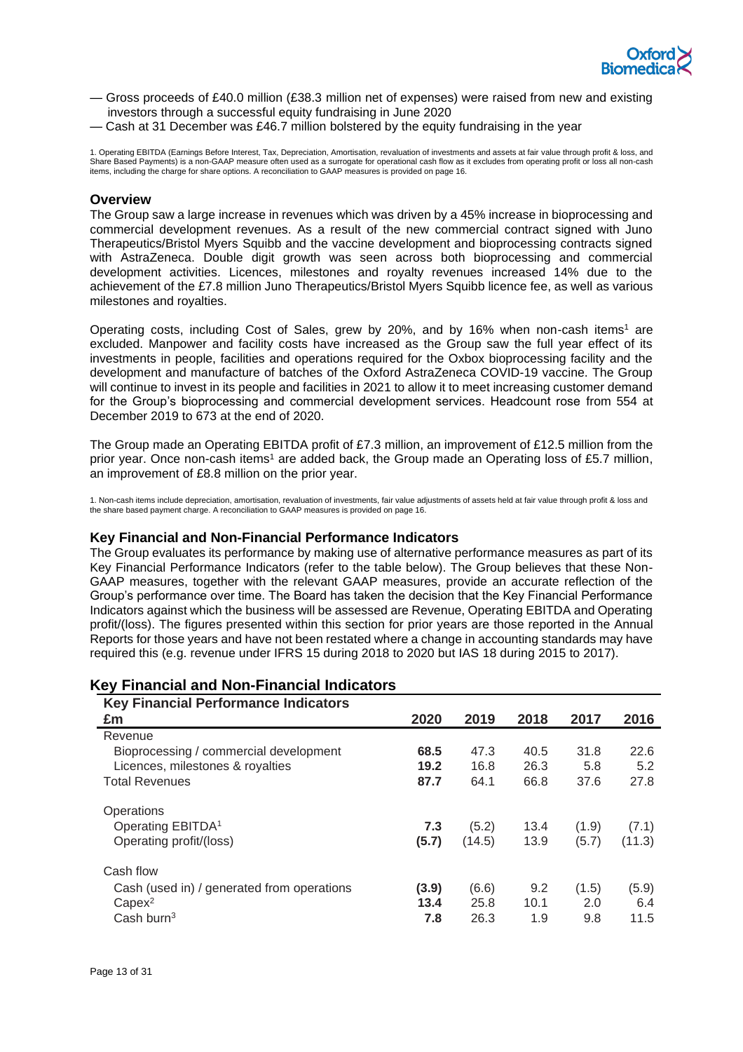

- Gross proceeds of £40.0 million (£38.3 million net of expenses) were raised from new and existing investors through a successful equity fundraising in June 2020
- Cash at 31 December was £46.7 million bolstered by the equity fundraising in the year

1. Operating EBITDA (Earnings Before Interest, Tax, Depreciation, Amortisation, revaluation of investments and assets at fair value through profit & loss, and Share Based Payments) is a non-GAAP measure often used as a surrogate for operational cash flow as it excludes from operating profit or loss all non-cash items, including the charge for share options. A reconciliation to GAAP measures is provided on page 16.

#### **Overview**

The Group saw a large increase in revenues which was driven by a 45% increase in bioprocessing and commercial development revenues. As a result of the new commercial contract signed with Juno Therapeutics/Bristol Myers Squibb and the vaccine development and bioprocessing contracts signed with AstraZeneca. Double digit growth was seen across both bioprocessing and commercial development activities. Licences, milestones and royalty revenues increased 14% due to the achievement of the £7.8 million Juno Therapeutics/Bristol Myers Squibb licence fee, as well as various milestones and royalties.

Operating costs, including Cost of Sales, grew by 20%, and by 16% when non-cash items<sup>1</sup> are excluded. Manpower and facility costs have increased as the Group saw the full year effect of its investments in people, facilities and operations required for the Oxbox bioprocessing facility and the development and manufacture of batches of the Oxford AstraZeneca COVID-19 vaccine. The Group will continue to invest in its people and facilities in 2021 to allow it to meet increasing customer demand for the Group's bioprocessing and commercial development services. Headcount rose from 554 at December 2019 to 673 at the end of 2020.

The Group made an Operating EBITDA profit of £7.3 million, an improvement of £12.5 million from the prior year. Once non-cash items<sup>1</sup> are added back, the Group made an Operating loss of £5.7 million, an improvement of £8.8 million on the prior year.

1. Non-cash items include depreciation, amortisation, revaluation of investments, fair value adjustments of assets held at fair value through profit & loss and the share based payment charge. A reconciliation to GAAP measures is provided on page 16.

#### **Key Financial and Non-Financial Performance Indicators**

The Group evaluates its performance by making use of alternative performance measures as part of its Key Financial Performance Indicators (refer to the table below). The Group believes that these Non-GAAP measures, together with the relevant GAAP measures, provide an accurate reflection of the Group's performance over time. The Board has taken the decision that the Key Financial Performance Indicators against which the business will be assessed are Revenue, Operating EBITDA and Operating profit/(loss). The figures presented within this section for prior years are those reported in the Annual Reports for those years and have not been restated where a change in accounting standards may have required this (e.g. revenue under IFRS 15 during 2018 to 2020 but IAS 18 during 2015 to 2017).

#### **Key Financial and Non-Financial Indicators**

| <b>Key Financial Performance Indicators</b> |       |        |      |       |        |
|---------------------------------------------|-------|--------|------|-------|--------|
| £m                                          | 2020  | 2019   | 2018 | 2017  | 2016   |
| Revenue                                     |       |        |      |       |        |
| Bioprocessing / commercial development      | 68.5  | 47.3   | 40.5 | 31.8  | 22.6   |
| Licences, milestones & royalties            | 19.2  | 16.8   | 26.3 | 5.8   | 5.2    |
| <b>Total Revenues</b>                       | 87.7  | 64.1   | 66.8 | 37.6  | 27.8   |
| Operations                                  |       |        |      |       |        |
| Operating EBITDA <sup>1</sup>               | 7.3   | (5.2)  | 13.4 | (1.9) | (7.1)  |
| Operating profit/(loss)                     | (5.7) | (14.5) | 13.9 | (5.7) | (11.3) |
| Cash flow                                   |       |        |      |       |        |
| Cash (used in) / generated from operations  | (3.9) | (6.6)  | 9.2  | (1.5) | (5.9)  |
| $Capex^2$                                   | 13.4  | 25.8   | 10.1 | 2.0   | 6.4    |
| Cash burn $3$                               | 7.8   | 26.3   | 1.9  | 9.8   | 11.5   |
|                                             |       |        |      |       |        |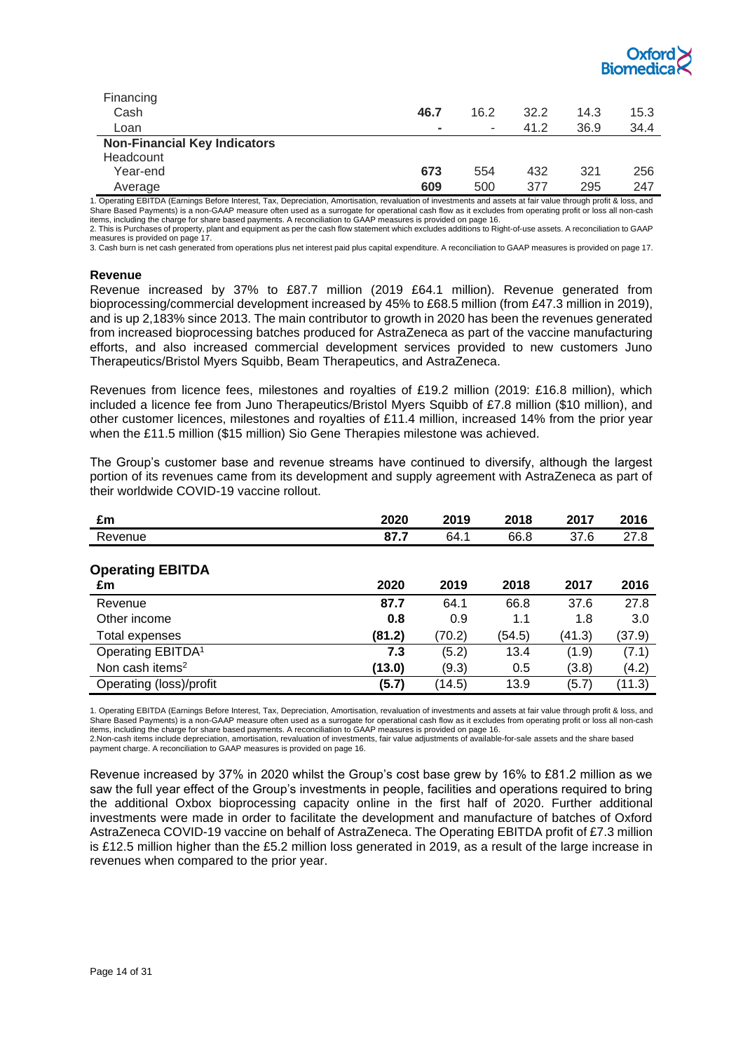

| Financing                           |                |                          |      |      |      |
|-------------------------------------|----------------|--------------------------|------|------|------|
| Cash                                | 46.7           | 16.2                     | 32.2 | 14.3 | 15.3 |
| Loan                                | $\blacksquare$ | $\overline{\phantom{a}}$ | 41.2 | 36.9 | 34.4 |
| <b>Non-Financial Key Indicators</b> |                |                          |      |      |      |
| Headcount                           |                |                          |      |      |      |
| Year-end                            | 673            | 554                      | 432  | 321  | 256  |
| Average                             | 609            | 500                      | 377  | 295  | 247  |

1. Operating EBITDA (Earnings Before Interest, Tax, Depreciation, Amortisation, revaluation of investments and assets at fair value through profit & loss, and Share Based Payments) is a non-GAAP measure often used as a surrogate for operational cash flow as it excludes from operating profit or loss all non-cash items, including the charge for share based payments. A reconciliation to GAAP measures is provided on page 16. 2. This is Purchases of property, plant and equipment as per the cash flow statement which excludes additions to Right-of-use assets. A reconciliation to GAAP

measures is provided on page 17. 3. Cash burn is net cash generated from operations plus net interest paid plus capital expenditure. A reconciliation to GAAP measures is provided on page 17.

#### **Revenue**

Revenue increased by 37% to £87.7 million (2019 £64.1 million). Revenue generated from bioprocessing/commercial development increased by 45% to £68.5 million (from £47.3 million in 2019), and is up 2,183% since 2013. The main contributor to growth in 2020 has been the revenues generated from increased bioprocessing batches produced for AstraZeneca as part of the vaccine manufacturing efforts, and also increased commercial development services provided to new customers Juno Therapeutics/Bristol Myers Squibb, Beam Therapeutics, and AstraZeneca.

Revenues from licence fees, milestones and royalties of £19.2 million (2019: £16.8 million), which included a licence fee from Juno Therapeutics/Bristol Myers Squibb of £7.8 million (\$10 million), and other customer licences, milestones and royalties of £11.4 million, increased 14% from the prior year when the £11.5 million (\$15 million) Sio Gene Therapies milestone was achieved.

The Group's customer base and revenue streams have continued to diversify, although the largest portion of its revenues came from its development and supply agreement with AstraZeneca as part of their worldwide COVID-19 vaccine rollout.

| £m                            | 2020   | 2019   | 2018   | 2017   | 2016   |
|-------------------------------|--------|--------|--------|--------|--------|
| Revenue                       | 87.7   | 64.1   | 66.8   | 37.6   | 27.8   |
| <b>Operating EBITDA</b><br>£m | 2020   | 2019   | 2018   | 2017   | 2016   |
| Revenue                       | 87.7   | 64.1   | 66.8   | 37.6   | 27.8   |
| Other income                  | 0.8    | 0.9    | 1.1    | 1.8    | 3.0    |
| Total expenses                | (81.2) | (70.2) | (54.5) | (41.3) | (37.9) |
| Operating EBITDA <sup>1</sup> | 7.3    | (5.2)  | 13.4   | (1.9)  | (7.1)  |
| Non cash items <sup>2</sup>   | (13.0) | (9.3)  | 0.5    | (3.8)  | (4.2)  |
| Operating (loss)/profit       | (5.7)  | (14.5) | 13.9   | (5.7)  | (11.3) |

1. Operating EBITDA (Earnings Before Interest, Tax, Depreciation, Amortisation, revaluation of investments and assets at fair value through profit & loss, and Share Based Payments) is a non-GAAP measure often used as a surrogate for operational cash flow as it excludes from operating profit or loss all non-cash items, including the charge for share based payments. A reconciliation to GAAP measures is provided on page 16.

2.Non-cash items include depreciation, amortisation, revaluation of investments, fair value adjustments of available-for-sale assets and the share based payment charge. A reconciliation to GAAP measures is provided on page 16.

Revenue increased by 37% in 2020 whilst the Group's cost base grew by 16% to £81.2 million as we saw the full year effect of the Group's investments in people, facilities and operations required to bring the additional Oxbox bioprocessing capacity online in the first half of 2020. Further additional investments were made in order to facilitate the development and manufacture of batches of Oxford AstraZeneca COVID-19 vaccine on behalf of AstraZeneca. The Operating EBITDA profit of £7.3 million is £12.5 million higher than the £5.2 million loss generated in 2019, as a result of the large increase in revenues when compared to the prior year.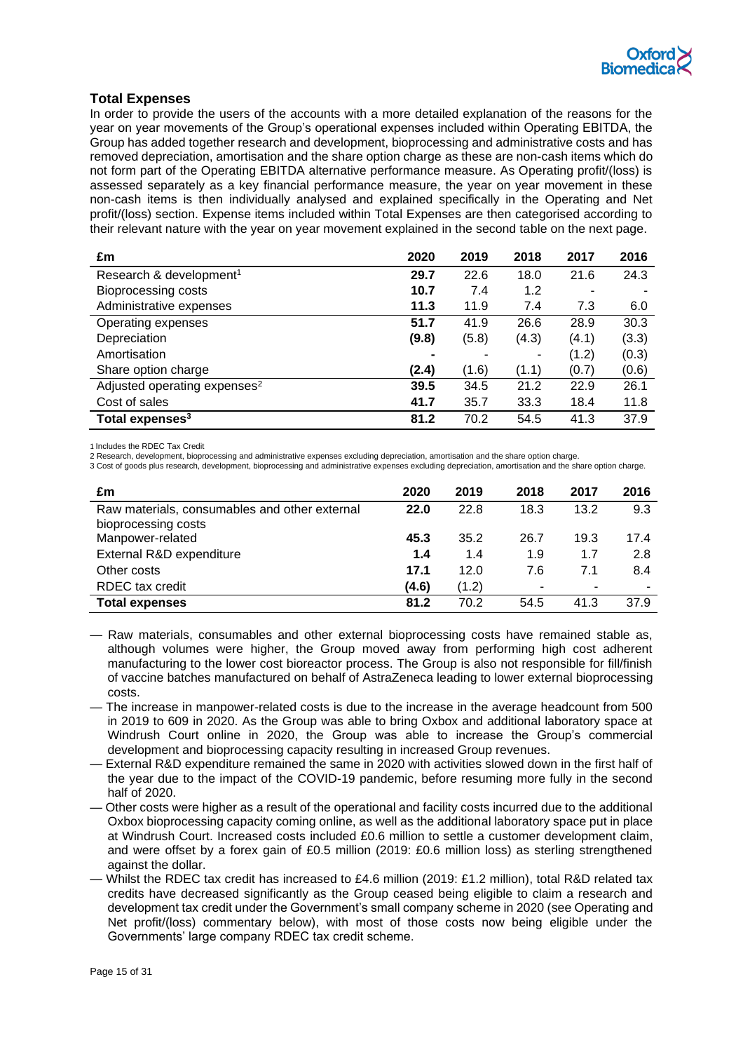

#### **Total Expenses**

In order to provide the users of the accounts with a more detailed explanation of the reasons for the year on year movements of the Group's operational expenses included within Operating EBITDA, the Group has added together research and development, bioprocessing and administrative costs and has removed depreciation, amortisation and the share option charge as these are non-cash items which do not form part of the Operating EBITDA alternative performance measure. As Operating profit/(loss) is assessed separately as a key financial performance measure, the year on year movement in these non-cash items is then individually analysed and explained specifically in the Operating and Net profit/(loss) section. Expense items included within Total Expenses are then categorised according to their relevant nature with the year on year movement explained in the second table on the next page.

| £m                                       | 2020           | 2019  | 2018  | 2017  | 2016  |
|------------------------------------------|----------------|-------|-------|-------|-------|
| Research & development <sup>1</sup>      | 29.7           | 22.6  | 18.0  | 21.6  | 24.3  |
| Bioprocessing costs                      | 10.7           | 7.4   | 1.2   | ۰     |       |
| Administrative expenses                  | 11.3           | 11.9  | 7.4   | 7.3   | 6.0   |
| Operating expenses                       | 51.7           | 41.9  | 26.6  | 28.9  | 30.3  |
| Depreciation                             | (9.8)          | (5.8) | (4.3) | (4.1) | (3.3) |
| Amortisation                             | $\blacksquare$ |       |       | (1.2) | (0.3) |
| Share option charge                      | (2.4)          | (1.6) | (1.1) | (0.7) | (0.6) |
| Adjusted operating expenses <sup>2</sup> | 39.5           | 34.5  | 21.2  | 22.9  | 26.1  |
| Cost of sales                            | 41.7           | 35.7  | 33.3  | 18.4  | 11.8  |
| Total expenses <sup>3</sup>              | 81.2           | 70.2  | 54.5  | 41.3  | 37.9  |

1 Includes the RDEC Tax Credit

2 Research, development, bioprocessing and administrative expenses excluding depreciation, amortisation and the share option charge.

3 Cost of goods plus research, development, bioprocessing and administrative expenses excluding depreciation, amortisation and the share option charge.

| £m                                            | 2020  | 2019  | 2018 | 2017 | 2016 |
|-----------------------------------------------|-------|-------|------|------|------|
| Raw materials, consumables and other external | 22.0  | 22.8  | 18.3 | 13.2 | 9.3  |
| bioprocessing costs                           |       |       |      |      |      |
| Manpower-related                              | 45.3  | 35.2  | 26.7 | 19.3 | 17.4 |
| External R&D expenditure                      | 1.4   | 1.4   | 1.9  | 1.7  | 2.8  |
| Other costs                                   | 17.1  | 12.0  | 7.6  | 7.1  | 8.4  |
| <b>RDEC</b> tax credit                        | (4.6) | (1.2) | ۰    |      |      |
| <b>Total expenses</b>                         | 81.2  | 70.2  | 54.5 | 41.3 | 37.9 |

- Raw materials, consumables and other external bioprocessing costs have remained stable as, although volumes were higher, the Group moved away from performing high cost adherent manufacturing to the lower cost bioreactor process. The Group is also not responsible for fill/finish of vaccine batches manufactured on behalf of AstraZeneca leading to lower external bioprocessing costs.
- The increase in manpower-related costs is due to the increase in the average headcount from 500 in 2019 to 609 in 2020. As the Group was able to bring Oxbox and additional laboratory space at Windrush Court online in 2020, the Group was able to increase the Group's commercial development and bioprocessing capacity resulting in increased Group revenues.
- External R&D expenditure remained the same in 2020 with activities slowed down in the first half of the year due to the impact of the COVID-19 pandemic, before resuming more fully in the second half of 2020.
- Other costs were higher as a result of the operational and facility costs incurred due to the additional Oxbox bioprocessing capacity coming online, as well as the additional laboratory space put in place at Windrush Court. Increased costs included £0.6 million to settle a customer development claim, and were offset by a forex gain of £0.5 million (2019: £0.6 million loss) as sterling strengthened against the dollar.
- Whilst the RDEC tax credit has increased to £4.6 million (2019: £1.2 million), total R&D related tax credits have decreased significantly as the Group ceased being eligible to claim a research and development tax credit under the Government's small company scheme in 2020 (see Operating and Net profit/(loss) commentary below), with most of those costs now being eligible under the Governments' large company RDEC tax credit scheme.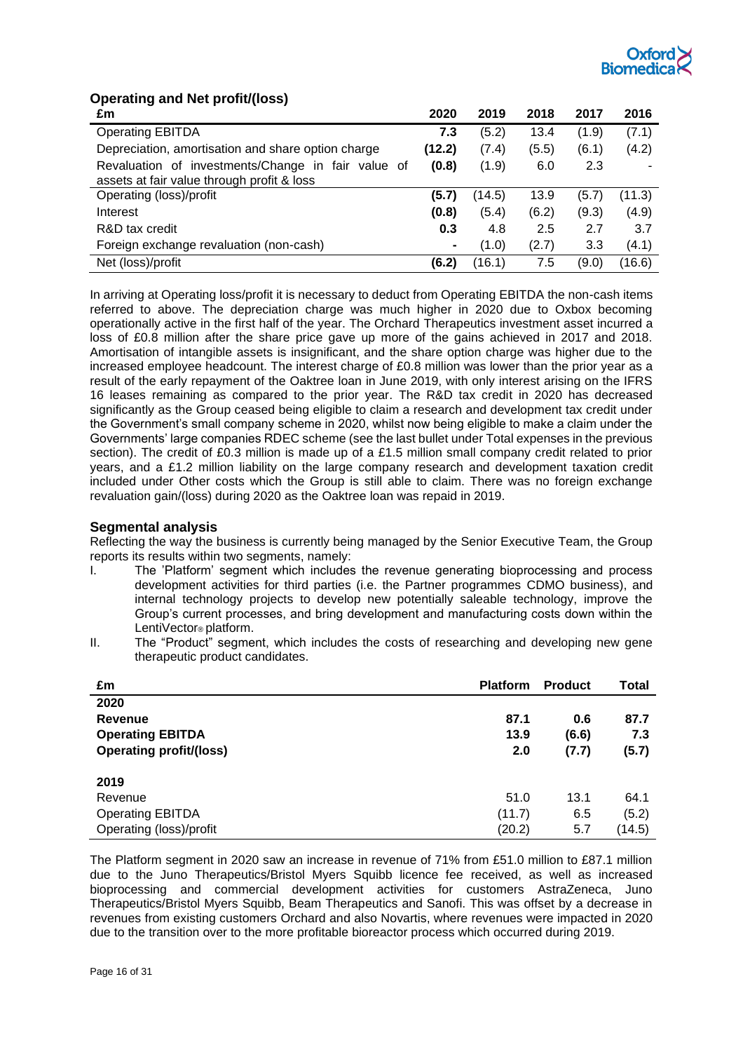

#### **Operating and Net profit/(loss)**

| £m                                                 | 2020           | 2019   | 2018  | 2017  | 2016   |
|----------------------------------------------------|----------------|--------|-------|-------|--------|
| <b>Operating EBITDA</b>                            | 7.3            | (5.2)  | 13.4  | (1.9) | (7.1)  |
| Depreciation, amortisation and share option charge | (12.2)         | (7.4)  | (5.5) | (6.1) | (4.2)  |
| Revaluation of investments/Change in fair value of | (0.8)          | (1.9)  | 6.0   | 2.3   |        |
| assets at fair value through profit & loss         |                |        |       |       |        |
| Operating (loss)/profit                            | (5.7)          | (14.5) | 13.9  | (5.7) | (11.3) |
| Interest                                           | (0.8)          | (5.4)  | (6.2) | (9.3) | (4.9)  |
| R&D tax credit                                     | 0.3            | 4.8    | 2.5   | 2.7   | 3.7    |
| Foreign exchange revaluation (non-cash)            | $\blacksquare$ | (1.0)  | (2.7) | 3.3   | (4.1)  |
| Net (loss)/profit                                  | (6.2)          | (16.1) | 7.5   | (9.0) | (16.6) |

In arriving at Operating loss/profit it is necessary to deduct from Operating EBITDA the non-cash items referred to above. The depreciation charge was much higher in 2020 due to Oxbox becoming operationally active in the first half of the year. The Orchard Therapeutics investment asset incurred a loss of £0.8 million after the share price gave up more of the gains achieved in 2017 and 2018. Amortisation of intangible assets is insignificant, and the share option charge was higher due to the increased employee headcount. The interest charge of £0.8 million was lower than the prior year as a result of the early repayment of the Oaktree loan in June 2019, with only interest arising on the IFRS 16 leases remaining as compared to the prior year. The R&D tax credit in 2020 has decreased significantly as the Group ceased being eligible to claim a research and development tax credit under the Government's small company scheme in 2020, whilst now being eligible to make a claim under the Governments' large companies RDEC scheme (see the last bullet under Total expenses in the previous section). The credit of £0.3 million is made up of a £1.5 million small company credit related to prior years, and a £1.2 million liability on the large company research and development taxation credit included under Other costs which the Group is still able to claim. There was no foreign exchange revaluation gain/(loss) during 2020 as the Oaktree loan was repaid in 2019.

#### **Segmental analysis**

Reflecting the way the business is currently being managed by the Senior Executive Team, the Group reports its results within two segments, namely:

- I. The 'Platform' segment which includes the revenue generating bioprocessing and process development activities for third parties (i.e. the Partner programmes CDMO business), and internal technology projects to develop new potentially saleable technology, improve the Group's current processes, and bring development and manufacturing costs down within the LentiVector® platform.
- II. The "Product" segment, which includes the costs of researching and developing new gene therapeutic product candidates.

| £m                             | <b>Platform</b> | <b>Product</b> | Total  |
|--------------------------------|-----------------|----------------|--------|
| 2020                           |                 |                |        |
| Revenue                        | 87.1            | 0.6            | 87.7   |
| <b>Operating EBITDA</b>        | 13.9            | (6.6)          | 7.3    |
| <b>Operating profit/(loss)</b> | 2.0             | (7.7)          | (5.7)  |
| 2019                           |                 |                |        |
| Revenue                        | 51.0            | 13.1           | 64.1   |
| <b>Operating EBITDA</b>        | (11.7)          | 6.5            | (5.2)  |
| Operating (loss)/profit        | (20.2)          | 5.7            | (14.5) |

The Platform segment in 2020 saw an increase in revenue of 71% from £51.0 million to £87.1 million due to the Juno Therapeutics/Bristol Myers Squibb licence fee received, as well as increased bioprocessing and commercial development activities for customers AstraZeneca, Juno Therapeutics/Bristol Myers Squibb, Beam Therapeutics and Sanofi. This was offset by a decrease in revenues from existing customers Orchard and also Novartis, where revenues were impacted in 2020 due to the transition over to the more profitable bioreactor process which occurred during 2019.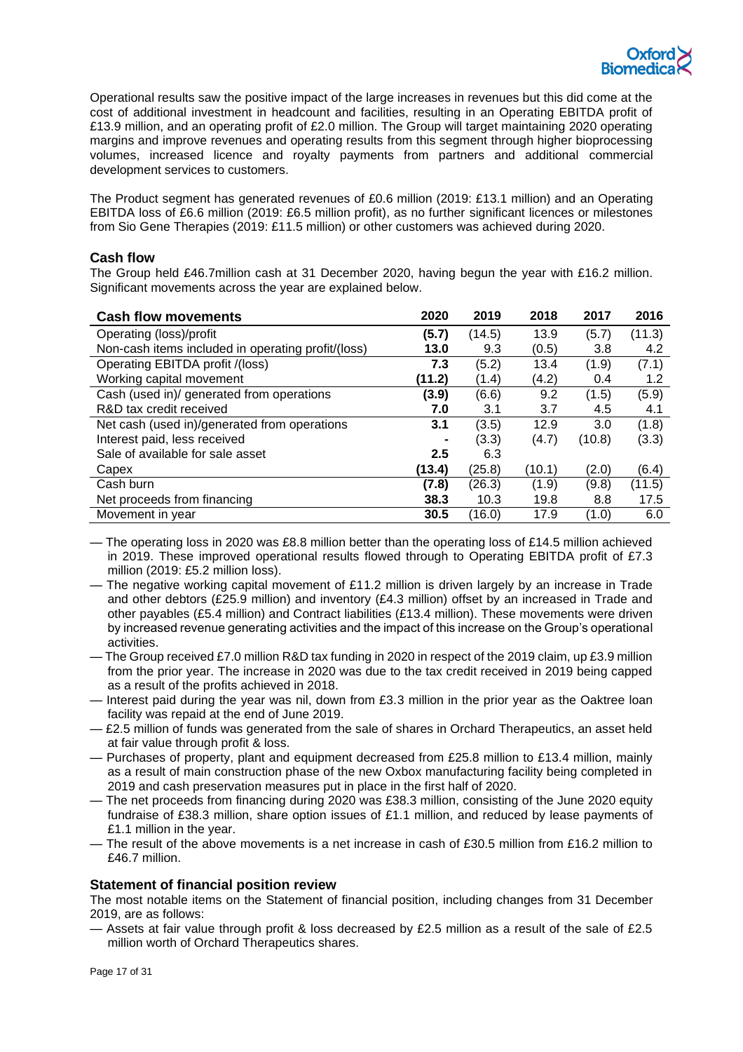Operational results saw the positive impact of the large increases in revenues but this did come at the cost of additional investment in headcount and facilities, resulting in an Operating EBITDA profit of £13.9 million, and an operating profit of £2.0 million. The Group will target maintaining 2020 operating margins and improve revenues and operating results from this segment through higher bioprocessing volumes, increased licence and royalty payments from partners and additional commercial development services to customers.

The Product segment has generated revenues of £0.6 million (2019: £13.1 million) and an Operating EBITDA loss of £6.6 million (2019: £6.5 million profit), as no further significant licences or milestones from Sio Gene Therapies (2019: £11.5 million) or other customers was achieved during 2020.

#### **Cash flow**

The Group held £46.7million cash at 31 December 2020, having begun the year with £16.2 million. Significant movements across the year are explained below.

| <b>Cash flow movements</b>                         | 2020   | 2019   | 2018   | 2017   | 2016   |
|----------------------------------------------------|--------|--------|--------|--------|--------|
| Operating (loss)/profit                            | (5.7)  | (14.5) | 13.9   | (5.7)  | (11.3) |
| Non-cash items included in operating profit/(loss) | 13.0   | 9.3    | (0.5)  | 3.8    | 4.2    |
| Operating EBITDA profit /(loss)                    | 7.3    | (5.2)  | 13.4   | (1.9)  | (7.1)  |
| Working capital movement                           | (11.2) | (1.4)  | (4.2)  | 0.4    | 1.2    |
| Cash (used in)/ generated from operations          | (3.9)  | (6.6)  | 9.2    | (1.5)  | (5.9)  |
| R&D tax credit received                            | 7.0    | 3.1    | 3.7    | 4.5    | 4.1    |
| Net cash (used in)/generated from operations       | 3.1    | (3.5)  | 12.9   | 3.0    | (1.8)  |
| Interest paid, less received                       |        | (3.3)  | (4.7)  | (10.8) | (3.3)  |
| Sale of available for sale asset                   | 2.5    | 6.3    |        |        |        |
| Capex                                              | (13.4) | (25.8) | (10.1) | (2.0)  | (6.4)  |
| Cash burn                                          | (7.8)  | (26.3) | (1.9)  | (9.8)  | (11.5) |
| Net proceeds from financing                        | 38.3   | 10.3   | 19.8   | 8.8    | 17.5   |
| Movement in year                                   | 30.5   | (16.0) | 17.9   | (1.0)  | 6.0    |

— The operating loss in 2020 was £8.8 million better than the operating loss of £14.5 million achieved in 2019. These improved operational results flowed through to Operating EBITDA profit of £7.3 million (2019: £5.2 million loss).

- The negative working capital movement of £11.2 million is driven largely by an increase in Trade and other debtors (£25.9 million) and inventory (£4.3 million) offset by an increased in Trade and other payables (£5.4 million) and Contract liabilities (£13.4 million). These movements were driven by increased revenue generating activities and the impact of this increase on the Group's operational activities.
- The Group received £7.0 million R&D tax funding in 2020 in respect of the 2019 claim, up £3.9 million from the prior year. The increase in 2020 was due to the tax credit received in 2019 being capped as a result of the profits achieved in 2018.
- Interest paid during the year was nil, down from £3.3 million in the prior year as the Oaktree loan facility was repaid at the end of June 2019.
- $-$  £2.5 million of funds was generated from the sale of shares in Orchard Therapeutics, an asset held at fair value through profit & loss.
- Purchases of property, plant and equipment decreased from £25.8 million to £13.4 million, mainly as a result of main construction phase of the new Oxbox manufacturing facility being completed in 2019 and cash preservation measures put in place in the first half of 2020.
- The net proceeds from financing during 2020 was £38.3 million, consisting of the June 2020 equity fundraise of £38.3 million, share option issues of £1.1 million, and reduced by lease payments of £1.1 million in the year.
- The result of the above movements is a net increase in cash of £30.5 million from £16.2 million to £46.7 million.

#### **Statement of financial position review**

The most notable items on the Statement of financial position, including changes from 31 December 2019, are as follows:

— Assets at fair value through profit & loss decreased by £2.5 million as a result of the sale of £2.5 million worth of Orchard Therapeutics shares.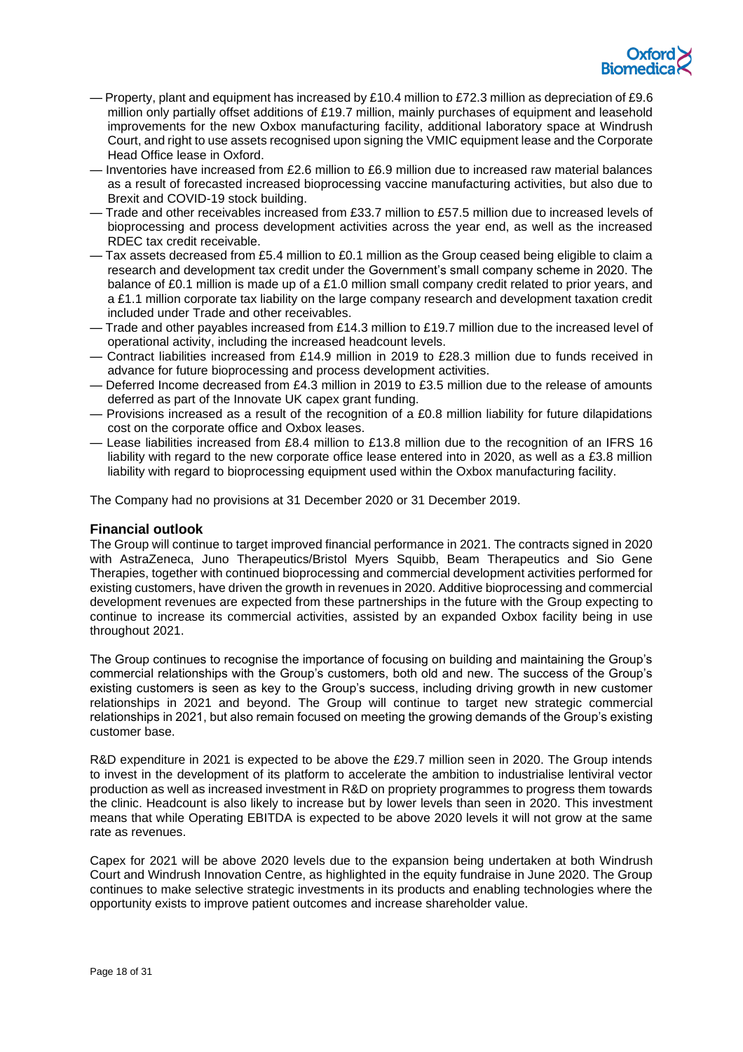

- $-$  Property, plant and equipment has increased by £10.4 million to £72.3 million as depreciation of £9.6 million only partially offset additions of £19.7 million, mainly purchases of equipment and leasehold improvements for the new Oxbox manufacturing facility, additional laboratory space at Windrush Court, and right to use assets recognised upon signing the VMIC equipment lease and the Corporate Head Office lease in Oxford.
- Inventories have increased from £2.6 million to £6.9 million due to increased raw material balances as a result of forecasted increased bioprocessing vaccine manufacturing activities, but also due to Brexit and COVID-19 stock building.
- Trade and other receivables increased from £33.7 million to £57.5 million due to increased levels of bioprocessing and process development activities across the year end, as well as the increased RDEC tax credit receivable.
- Tax assets decreased from £5.4 million to £0.1 million as the Group ceased being eligible to claim a research and development tax credit under the Government's small company scheme in 2020. The balance of £0.1 million is made up of a £1.0 million small company credit related to prior years, and a £1.1 million corporate tax liability on the large company research and development taxation credit included under Trade and other receivables.
- Trade and other payables increased from £14.3 million to £19.7 million due to the increased level of operational activity, including the increased headcount levels.
- Contract liabilities increased from £14.9 million in 2019 to £28.3 million due to funds received in advance for future bioprocessing and process development activities.
- Deferred Income decreased from £4.3 million in 2019 to £3.5 million due to the release of amounts deferred as part of the Innovate UK capex grant funding.
- $-$  Provisions increased as a result of the recognition of a £0.8 million liability for future dilapidations cost on the corporate office and Oxbox leases.
- Lease liabilities increased from £8.4 million to £13.8 million due to the recognition of an IFRS 16 liability with regard to the new corporate office lease entered into in 2020, as well as a £3.8 million liability with regard to bioprocessing equipment used within the Oxbox manufacturing facility.

The Company had no provisions at 31 December 2020 or 31 December 2019.

#### **Financial outlook**

The Group will continue to target improved financial performance in 2021. The contracts signed in 2020 with AstraZeneca, Juno Therapeutics/Bristol Myers Squibb, Beam Therapeutics and Sio Gene Therapies, together with continued bioprocessing and commercial development activities performed for existing customers, have driven the growth in revenues in 2020. Additive bioprocessing and commercial development revenues are expected from these partnerships in the future with the Group expecting to continue to increase its commercial activities, assisted by an expanded Oxbox facility being in use throughout 2021.

The Group continues to recognise the importance of focusing on building and maintaining the Group's commercial relationships with the Group's customers, both old and new. The success of the Group's existing customers is seen as key to the Group's success, including driving growth in new customer relationships in 2021 and beyond. The Group will continue to target new strategic commercial relationships in 2021, but also remain focused on meeting the growing demands of the Group's existing customer base.

R&D expenditure in 2021 is expected to be above the £29.7 million seen in 2020. The Group intends to invest in the development of its platform to accelerate the ambition to industrialise lentiviral vector production as well as increased investment in R&D on propriety programmes to progress them towards the clinic. Headcount is also likely to increase but by lower levels than seen in 2020. This investment means that while Operating EBITDA is expected to be above 2020 levels it will not grow at the same rate as revenues.

Capex for 2021 will be above 2020 levels due to the expansion being undertaken at both Windrush Court and Windrush Innovation Centre, as highlighted in the equity fundraise in June 2020. The Group continues to make selective strategic investments in its products and enabling technologies where the opportunity exists to improve patient outcomes and increase shareholder value.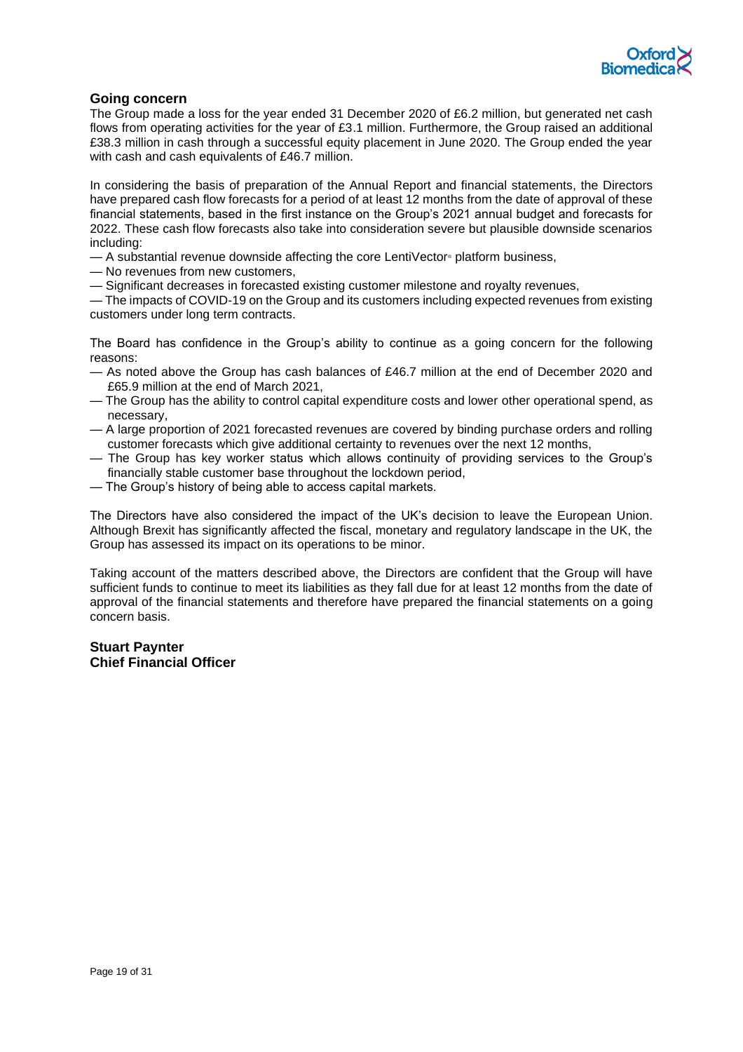

#### **Going concern**

The Group made a loss for the year ended 31 December 2020 of £6.2 million, but generated net cash flows from operating activities for the year of £3.1 million. Furthermore, the Group raised an additional £38.3 million in cash through a successful equity placement in June 2020. The Group ended the year with cash and cash equivalents of £46.7 million.

In considering the basis of preparation of the Annual Report and financial statements, the Directors have prepared cash flow forecasts for a period of at least 12 months from the date of approval of these financial statements, based in the first instance on the Group's 2021 annual budget and forecasts for 2022. These cash flow forecasts also take into consideration severe but plausible downside scenarios including:

- $-$  A substantial revenue downside affecting the core LentiVector® platform business,
- No revenues from new customers,
- Significant decreases in forecasted existing customer milestone and royalty revenues,

— The impacts of COVID-19 on the Group and its customers including expected revenues from existing customers under long term contracts.

The Board has confidence in the Group's ability to continue as a going concern for the following reasons:

- As noted above the Group has cash balances of £46.7 million at the end of December 2020 and £65.9 million at the end of March 2021,
- The Group has the ability to control capital expenditure costs and lower other operational spend, as necessary,
- A large proportion of 2021 forecasted revenues are covered by binding purchase orders and rolling customer forecasts which give additional certainty to revenues over the next 12 months,
- The Group has key worker status which allows continuity of providing services to the Group's financially stable customer base throughout the lockdown period,
- The Group's history of being able to access capital markets.

The Directors have also considered the impact of the UK's decision to leave the European Union. Although Brexit has significantly affected the fiscal, monetary and regulatory landscape in the UK, the Group has assessed its impact on its operations to be minor.

Taking account of the matters described above, the Directors are confident that the Group will have sufficient funds to continue to meet its liabilities as they fall due for at least 12 months from the date of approval of the financial statements and therefore have prepared the financial statements on a going concern basis.

#### **Stuart Paynter Chief Financial Officer**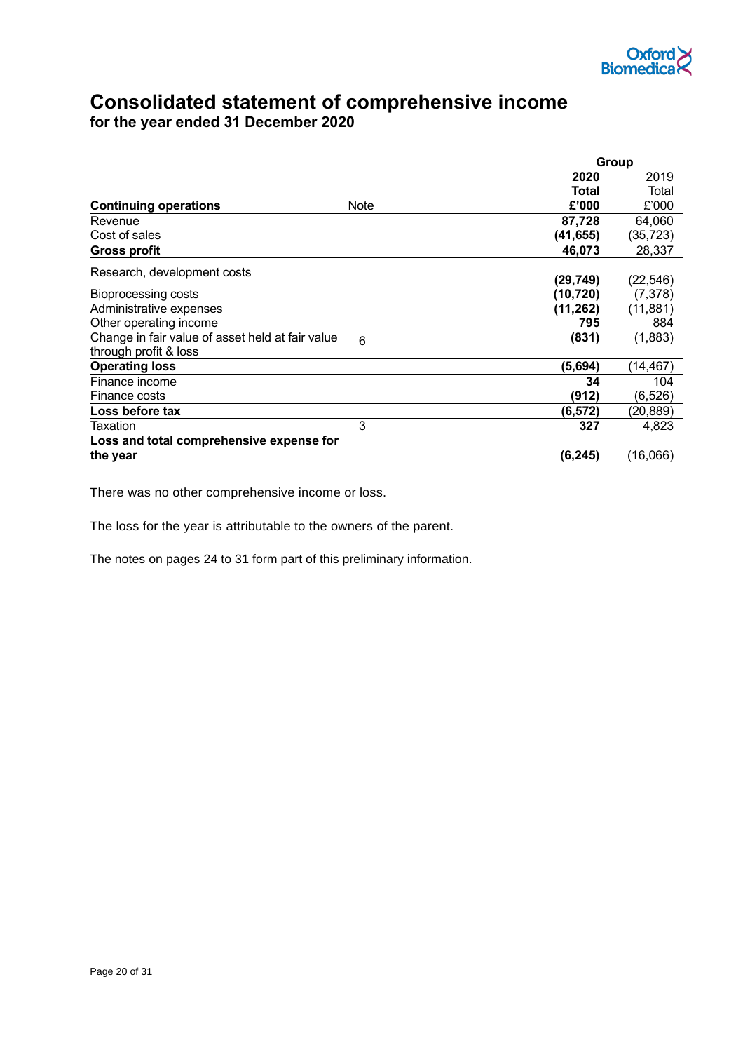

# **Consolidated statement of comprehensive income**

**for the year ended 31 December 2020**

|                                                  |             | 2020         | 2019      |
|--------------------------------------------------|-------------|--------------|-----------|
|                                                  |             | <b>Total</b> | Total     |
| <b>Continuing operations</b>                     | <b>Note</b> | £'000        | £'000     |
| Revenue                                          |             | 87,728       | 64,060    |
| Cost of sales                                    |             | (41.655)     | (35,723)  |
| Gross profit                                     |             | 46,073       | 28,337    |
| Research, development costs                      |             |              |           |
|                                                  |             | (29, 749)    | (22, 546) |
| Bioprocessing costs                              |             | (10, 720)    | (7, 378)  |
| Administrative expenses                          |             | (11, 262)    | (11, 881) |
| Other operating income                           |             | 795          | 884       |
| Change in fair value of asset held at fair value | 6           | (831)        | (1,883)   |
| through profit & loss                            |             |              |           |
| <b>Operating loss</b>                            |             | (5,694)      | (14, 467) |
| Finance income                                   |             | 34           | 104       |
| Finance costs                                    |             | (912)        | (6,526)   |
| Loss before tax                                  |             | (6, 572)     | (20, 889) |
| Taxation                                         | 3           | 327          | 4,823     |
| Loss and total comprehensive expense for         |             |              |           |
| the year                                         |             | (6, 245)     | (16,066)  |
|                                                  |             |              |           |

There was no other comprehensive income or loss.

The loss for the year is attributable to the owners of the parent.

The notes on pages 24 to 31 form part of this preliminary information.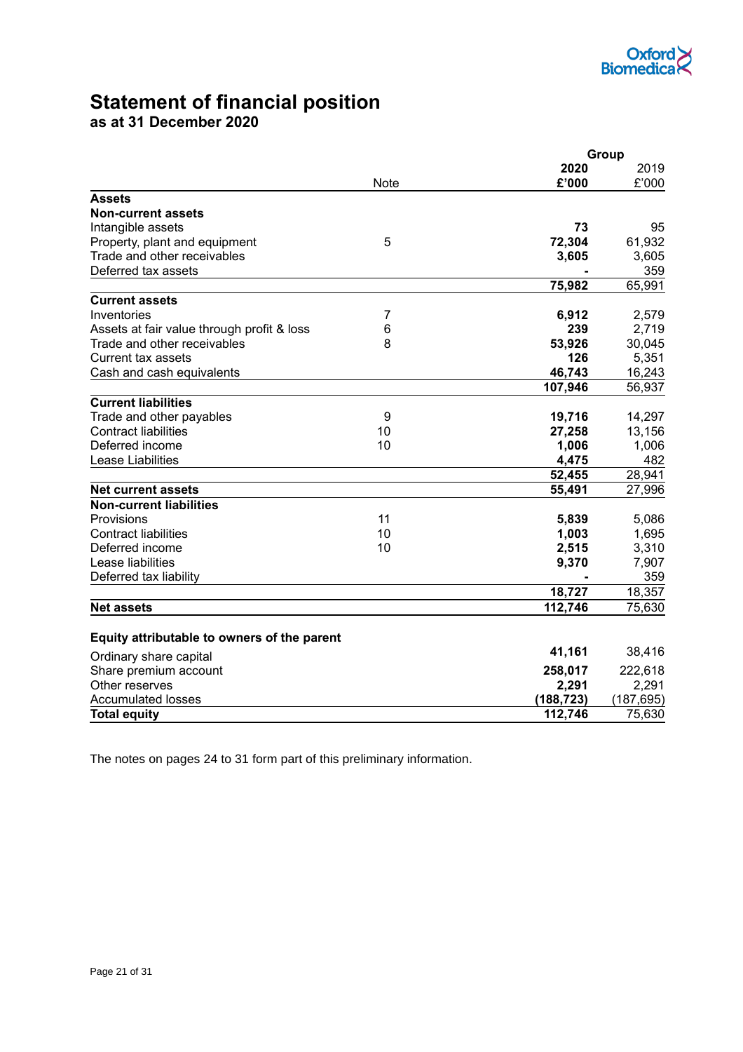

### **Statement of financial position**

**as at 31 December 2020**

| 2020<br>2019<br>£'000<br>£'000<br><b>Note</b><br>73<br>95<br>5<br>72,304<br>61,932<br>Trade and other receivables<br>3,605<br>3,605<br>Deferred tax assets<br>359<br>75,982<br>65,991<br>6,912<br>2,579<br>7<br>6<br>239<br>Assets at fair value through profit & loss<br>2,719<br>Trade and other receivables<br>8<br>53,926<br>30,045<br>5,351<br>126<br>46,743<br>16,243<br>Cash and cash equivalents<br>107,946<br>56,937<br>9<br>Trade and other payables<br>19,716<br>14,297<br><b>Contract liabilities</b><br>27,258<br>13,156<br>10<br>10<br>1,006<br>1,006<br>Lease Liabilities<br>4,475<br>482<br>28,941<br>52,455<br>27,996<br>55,491<br>11<br>5,839<br>5,086<br>10<br>1,003<br>1,695<br>10<br>2,515<br>3,310<br>Lease liabilities<br>9,370<br>7,907<br>Deferred tax liability<br>359<br>18,357<br>18,727<br>75,630<br>112,746<br>Equity attributable to owners of the parent<br>41,161<br>38,416<br>Ordinary share capital<br>Share premium account<br>222,618<br>258,017<br>2,291<br>Other reserves<br>2,291<br>(187, 695)<br><b>Accumulated losses</b><br>(188, 723) |                                |  | Group  |
|------------------------------------------------------------------------------------------------------------------------------------------------------------------------------------------------------------------------------------------------------------------------------------------------------------------------------------------------------------------------------------------------------------------------------------------------------------------------------------------------------------------------------------------------------------------------------------------------------------------------------------------------------------------------------------------------------------------------------------------------------------------------------------------------------------------------------------------------------------------------------------------------------------------------------------------------------------------------------------------------------------------------------------------------------------------------------------|--------------------------------|--|--------|
|                                                                                                                                                                                                                                                                                                                                                                                                                                                                                                                                                                                                                                                                                                                                                                                                                                                                                                                                                                                                                                                                                    |                                |  |        |
|                                                                                                                                                                                                                                                                                                                                                                                                                                                                                                                                                                                                                                                                                                                                                                                                                                                                                                                                                                                                                                                                                    |                                |  |        |
|                                                                                                                                                                                                                                                                                                                                                                                                                                                                                                                                                                                                                                                                                                                                                                                                                                                                                                                                                                                                                                                                                    | <b>Assets</b>                  |  |        |
|                                                                                                                                                                                                                                                                                                                                                                                                                                                                                                                                                                                                                                                                                                                                                                                                                                                                                                                                                                                                                                                                                    | <b>Non-current assets</b>      |  |        |
|                                                                                                                                                                                                                                                                                                                                                                                                                                                                                                                                                                                                                                                                                                                                                                                                                                                                                                                                                                                                                                                                                    | Intangible assets              |  |        |
|                                                                                                                                                                                                                                                                                                                                                                                                                                                                                                                                                                                                                                                                                                                                                                                                                                                                                                                                                                                                                                                                                    | Property, plant and equipment  |  |        |
|                                                                                                                                                                                                                                                                                                                                                                                                                                                                                                                                                                                                                                                                                                                                                                                                                                                                                                                                                                                                                                                                                    |                                |  |        |
|                                                                                                                                                                                                                                                                                                                                                                                                                                                                                                                                                                                                                                                                                                                                                                                                                                                                                                                                                                                                                                                                                    |                                |  |        |
|                                                                                                                                                                                                                                                                                                                                                                                                                                                                                                                                                                                                                                                                                                                                                                                                                                                                                                                                                                                                                                                                                    |                                |  |        |
|                                                                                                                                                                                                                                                                                                                                                                                                                                                                                                                                                                                                                                                                                                                                                                                                                                                                                                                                                                                                                                                                                    | <b>Current assets</b>          |  |        |
|                                                                                                                                                                                                                                                                                                                                                                                                                                                                                                                                                                                                                                                                                                                                                                                                                                                                                                                                                                                                                                                                                    | Inventories                    |  |        |
|                                                                                                                                                                                                                                                                                                                                                                                                                                                                                                                                                                                                                                                                                                                                                                                                                                                                                                                                                                                                                                                                                    |                                |  |        |
|                                                                                                                                                                                                                                                                                                                                                                                                                                                                                                                                                                                                                                                                                                                                                                                                                                                                                                                                                                                                                                                                                    |                                |  |        |
|                                                                                                                                                                                                                                                                                                                                                                                                                                                                                                                                                                                                                                                                                                                                                                                                                                                                                                                                                                                                                                                                                    | <b>Current tax assets</b>      |  |        |
|                                                                                                                                                                                                                                                                                                                                                                                                                                                                                                                                                                                                                                                                                                                                                                                                                                                                                                                                                                                                                                                                                    |                                |  |        |
|                                                                                                                                                                                                                                                                                                                                                                                                                                                                                                                                                                                                                                                                                                                                                                                                                                                                                                                                                                                                                                                                                    |                                |  |        |
|                                                                                                                                                                                                                                                                                                                                                                                                                                                                                                                                                                                                                                                                                                                                                                                                                                                                                                                                                                                                                                                                                    | <b>Current liabilities</b>     |  |        |
|                                                                                                                                                                                                                                                                                                                                                                                                                                                                                                                                                                                                                                                                                                                                                                                                                                                                                                                                                                                                                                                                                    |                                |  |        |
|                                                                                                                                                                                                                                                                                                                                                                                                                                                                                                                                                                                                                                                                                                                                                                                                                                                                                                                                                                                                                                                                                    |                                |  |        |
|                                                                                                                                                                                                                                                                                                                                                                                                                                                                                                                                                                                                                                                                                                                                                                                                                                                                                                                                                                                                                                                                                    | Deferred income                |  |        |
|                                                                                                                                                                                                                                                                                                                                                                                                                                                                                                                                                                                                                                                                                                                                                                                                                                                                                                                                                                                                                                                                                    |                                |  |        |
|                                                                                                                                                                                                                                                                                                                                                                                                                                                                                                                                                                                                                                                                                                                                                                                                                                                                                                                                                                                                                                                                                    |                                |  |        |
|                                                                                                                                                                                                                                                                                                                                                                                                                                                                                                                                                                                                                                                                                                                                                                                                                                                                                                                                                                                                                                                                                    | <b>Net current assets</b>      |  |        |
|                                                                                                                                                                                                                                                                                                                                                                                                                                                                                                                                                                                                                                                                                                                                                                                                                                                                                                                                                                                                                                                                                    | <b>Non-current liabilities</b> |  |        |
|                                                                                                                                                                                                                                                                                                                                                                                                                                                                                                                                                                                                                                                                                                                                                                                                                                                                                                                                                                                                                                                                                    | Provisions                     |  |        |
|                                                                                                                                                                                                                                                                                                                                                                                                                                                                                                                                                                                                                                                                                                                                                                                                                                                                                                                                                                                                                                                                                    | <b>Contract liabilities</b>    |  |        |
|                                                                                                                                                                                                                                                                                                                                                                                                                                                                                                                                                                                                                                                                                                                                                                                                                                                                                                                                                                                                                                                                                    | Deferred income                |  |        |
|                                                                                                                                                                                                                                                                                                                                                                                                                                                                                                                                                                                                                                                                                                                                                                                                                                                                                                                                                                                                                                                                                    |                                |  |        |
|                                                                                                                                                                                                                                                                                                                                                                                                                                                                                                                                                                                                                                                                                                                                                                                                                                                                                                                                                                                                                                                                                    |                                |  |        |
|                                                                                                                                                                                                                                                                                                                                                                                                                                                                                                                                                                                                                                                                                                                                                                                                                                                                                                                                                                                                                                                                                    |                                |  |        |
|                                                                                                                                                                                                                                                                                                                                                                                                                                                                                                                                                                                                                                                                                                                                                                                                                                                                                                                                                                                                                                                                                    | <b>Net assets</b>              |  |        |
|                                                                                                                                                                                                                                                                                                                                                                                                                                                                                                                                                                                                                                                                                                                                                                                                                                                                                                                                                                                                                                                                                    |                                |  |        |
|                                                                                                                                                                                                                                                                                                                                                                                                                                                                                                                                                                                                                                                                                                                                                                                                                                                                                                                                                                                                                                                                                    |                                |  |        |
|                                                                                                                                                                                                                                                                                                                                                                                                                                                                                                                                                                                                                                                                                                                                                                                                                                                                                                                                                                                                                                                                                    |                                |  |        |
|                                                                                                                                                                                                                                                                                                                                                                                                                                                                                                                                                                                                                                                                                                                                                                                                                                                                                                                                                                                                                                                                                    |                                |  |        |
|                                                                                                                                                                                                                                                                                                                                                                                                                                                                                                                                                                                                                                                                                                                                                                                                                                                                                                                                                                                                                                                                                    |                                |  |        |
|                                                                                                                                                                                                                                                                                                                                                                                                                                                                                                                                                                                                                                                                                                                                                                                                                                                                                                                                                                                                                                                                                    |                                |  |        |
| 112,746                                                                                                                                                                                                                                                                                                                                                                                                                                                                                                                                                                                                                                                                                                                                                                                                                                                                                                                                                                                                                                                                            | <b>Total equity</b>            |  | 75,630 |

The notes on pages 24 to 31 form part of this preliminary information.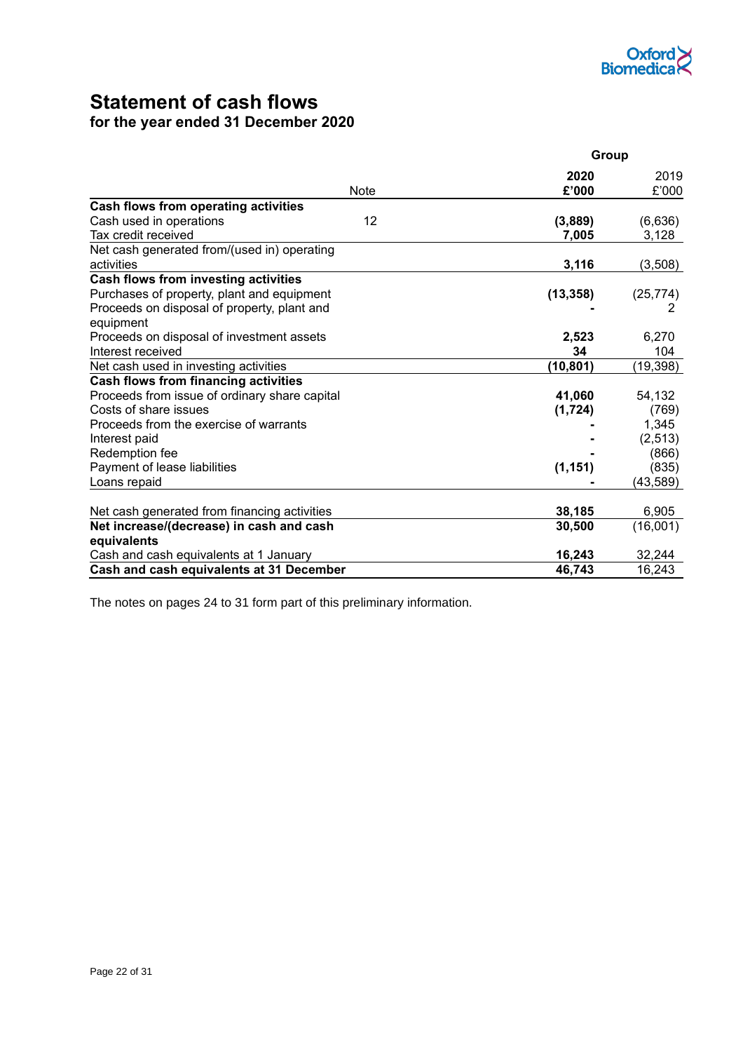

# **Statement of cash flows**

**for the year ended 31 December 2020**

|                                               | Group     |           |
|-----------------------------------------------|-----------|-----------|
|                                               | 2020      | 2019      |
| Note                                          | £'000     | £'000     |
| Cash flows from operating activities          |           |           |
| 12<br>Cash used in operations                 | (3,889)   | (6,636)   |
| Tax credit received                           | 7,005     | 3,128     |
| Net cash generated from/(used in) operating   |           |           |
| activities                                    | 3,116     | (3,508)   |
| Cash flows from investing activities          |           |           |
| Purchases of property, plant and equipment    | (13, 358) | (25, 774) |
| Proceeds on disposal of property, plant and   |           | 2         |
| equipment                                     |           |           |
| Proceeds on disposal of investment assets     | 2,523     | 6,270     |
| Interest received                             | 34        | 104       |
| Net cash used in investing activities         | (10, 801) | (19, 398) |
| Cash flows from financing activities          |           |           |
| Proceeds from issue of ordinary share capital | 41,060    | 54,132    |
| Costs of share issues                         | (1, 724)  | (769)     |
| Proceeds from the exercise of warrants        |           | 1,345     |
| Interest paid                                 |           | (2, 513)  |
| Redemption fee                                |           | (866)     |
| Payment of lease liabilities                  | (1, 151)  | (835)     |
| Loans repaid                                  |           | (43,589)  |
| Net cash generated from financing activities  | 38,185    | 6,905     |
| Net increase/(decrease) in cash and cash      | 30,500    | (16,001)  |
| equivalents                                   |           |           |
| Cash and cash equivalents at 1 January        | 16,243    | 32,244    |
| Cash and cash equivalents at 31 December      | 46,743    | 16,243    |

The notes on pages 24 to 31 form part of this preliminary information.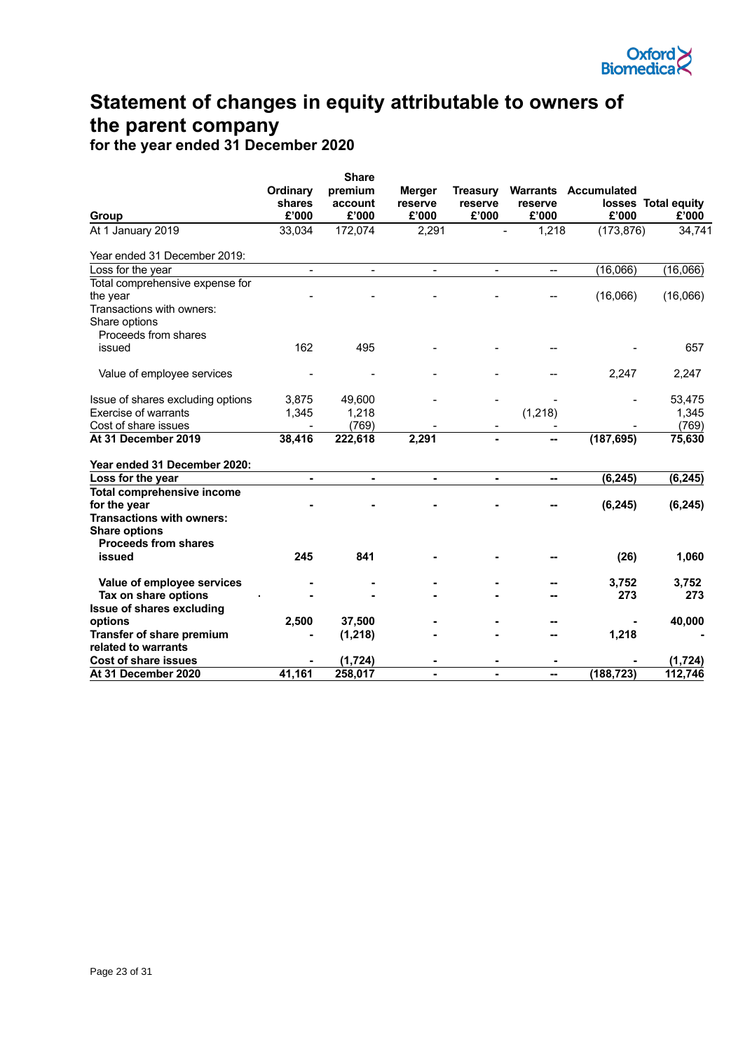# **Statement of changes in equity attributable to owners of the parent company**

**for the year ended 31 December 2020**

|                                                  | Ordinary<br>shares       | <b>Share</b><br>premium<br>account | <b>Merger</b><br>reserve | <b>Treasury</b><br>reserve | <b>Warrants</b><br>reserve | <b>Accumulated</b> | losses Total equity |
|--------------------------------------------------|--------------------------|------------------------------------|--------------------------|----------------------------|----------------------------|--------------------|---------------------|
| Group                                            | £'000                    | £'000                              | £'000                    | £'000                      | £'000                      | £'000              | £'000               |
| At 1 January 2019                                | 33,034                   | 172,074                            | 2,291                    |                            | 1,218                      | (173, 876)         | 34,741              |
| Year ended 31 December 2019:                     |                          |                                    |                          |                            |                            |                    |                     |
| Loss for the year                                | $\overline{\phantom{a}}$ | $\blacksquare$                     | $\overline{\phantom{a}}$ | $\overline{\phantom{a}}$   | $\qquad \qquad \text{---}$ | (16,066)           | (16,066)            |
| Total comprehensive expense for                  |                          |                                    |                          |                            |                            |                    |                     |
| the year                                         |                          |                                    |                          |                            |                            | (16,066)           | (16,066)            |
| Transactions with owners:<br>Share options       |                          |                                    |                          |                            |                            |                    |                     |
| Proceeds from shares                             |                          |                                    |                          |                            |                            |                    |                     |
| issued                                           | 162                      | 495                                |                          |                            |                            |                    | 657                 |
| Value of employee services                       |                          |                                    |                          |                            |                            | 2,247              | 2,247               |
| Issue of shares excluding options                | 3,875                    | 49,600                             |                          |                            |                            |                    | 53,475              |
| Exercise of warrants                             | 1,345                    | 1,218                              |                          |                            | (1,218)                    |                    | 1,345               |
| Cost of share issues                             |                          | (769)                              |                          |                            |                            |                    | (769)               |
| At 31 December 2019                              | 38,416                   | 222,618                            | 2,291                    |                            |                            | (187, 695)         | 75,630              |
| Year ended 31 December 2020:                     |                          |                                    |                          |                            |                            |                    |                     |
| Loss for the year                                | ۰.                       | $\overline{\phantom{a}}$           | ٠                        | $\overline{\phantom{0}}$   | --                         | (6, 245)           | (6, 245)            |
| <b>Total comprehensive income</b>                |                          |                                    |                          |                            |                            |                    |                     |
| for the year                                     |                          |                                    |                          |                            |                            | (6, 245)           | (6, 245)            |
| <b>Transactions with owners:</b>                 |                          |                                    |                          |                            |                            |                    |                     |
| <b>Share options</b>                             |                          |                                    |                          |                            |                            |                    |                     |
| <b>Proceeds from shares</b>                      |                          |                                    |                          |                            |                            |                    |                     |
| issued                                           | 245                      | 841                                |                          |                            |                            | (26)               | 1,060               |
| Value of employee services                       |                          |                                    |                          |                            |                            | 3,752              | 3,752               |
| Tax on share options                             |                          |                                    |                          |                            |                            | 273                | 273                 |
| Issue of shares excluding                        |                          |                                    |                          |                            |                            |                    |                     |
| options                                          | 2,500                    | 37,500                             |                          |                            |                            |                    | 40,000              |
| Transfer of share premium<br>related to warrants |                          | (1, 218)                           |                          |                            |                            | 1,218              |                     |
| <b>Cost of share issues</b>                      |                          | (1, 724)                           |                          |                            |                            |                    | (1, 724)            |
| At 31 December 2020                              | 41,161                   | 258,017                            |                          |                            |                            | (188, 723)         | 112,746             |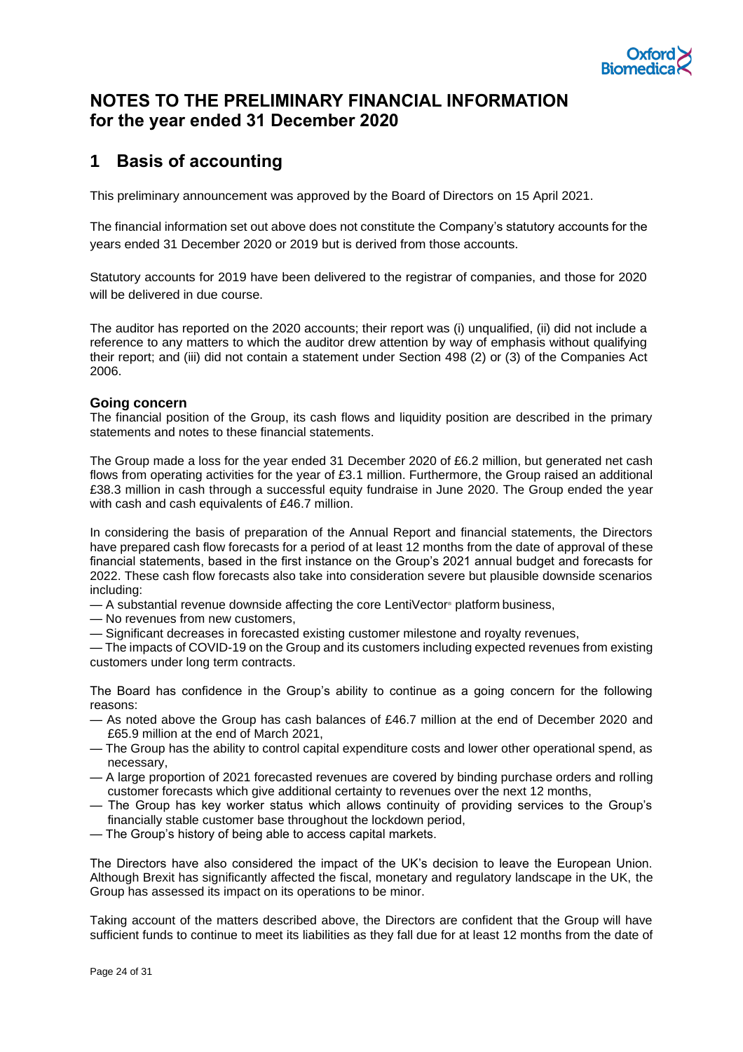

### **NOTES TO THE PRELIMINARY FINANCIAL INFORMATION for the year ended 31 December 2020**

### **1 Basis of accounting**

This preliminary announcement was approved by the Board of Directors on 15 April 2021.

The financial information set out above does not constitute the Company's statutory accounts for the years ended 31 December 2020 or 2019 but is derived from those accounts.

Statutory accounts for 2019 have been delivered to the registrar of companies, and those for 2020 will be delivered in due course.

The auditor has reported on the 2020 accounts; their report was (i) unqualified, (ii) did not include a reference to any matters to which the auditor drew attention by way of emphasis without qualifying their report; and (iii) did not contain a statement under Section 498 (2) or (3) of the Companies Act 2006.

#### **Going concern**

The financial position of the Group, its cash flows and liquidity position are described in the primary statements and notes to these financial statements.

The Group made a loss for the year ended 31 December 2020 of £6.2 million, but generated net cash flows from operating activities for the year of £3.1 million. Furthermore, the Group raised an additional £38.3 million in cash through a successful equity fundraise in June 2020. The Group ended the year with cash and cash equivalents of £46.7 million.

In considering the basis of preparation of the Annual Report and financial statements, the Directors have prepared cash flow forecasts for a period of at least 12 months from the date of approval of these financial statements, based in the first instance on the Group's 2021 annual budget and forecasts for 2022. These cash flow forecasts also take into consideration severe but plausible downside scenarios including:

- A substantial revenue downside affecting the core LentiVector® platform business,
- No revenues from new customers,
- Significant decreases in forecasted existing customer milestone and royalty revenues,

— The impacts of COVID-19 on the Group and its customers including expected revenues from existing customers under long term contracts.

The Board has confidence in the Group's ability to continue as a going concern for the following reasons:

- $-$  As noted above the Group has cash balances of £46.7 million at the end of December 2020 and £65.9 million at the end of March 2021,
- The Group has the ability to control capital expenditure costs and lower other operational spend, as necessary,
- A large proportion of 2021 forecasted revenues are covered by binding purchase orders and rolling customer forecasts which give additional certainty to revenues over the next 12 months,
- The Group has key worker status which allows continuity of providing services to the Group's financially stable customer base throughout the lockdown period,
- The Group's history of being able to access capital markets.

The Directors have also considered the impact of the UK's decision to leave the European Union. Although Brexit has significantly affected the fiscal, monetary and regulatory landscape in the UK, the Group has assessed its impact on its operations to be minor.

Taking account of the matters described above, the Directors are confident that the Group will have sufficient funds to continue to meet its liabilities as they fall due for at least 12 months from the date of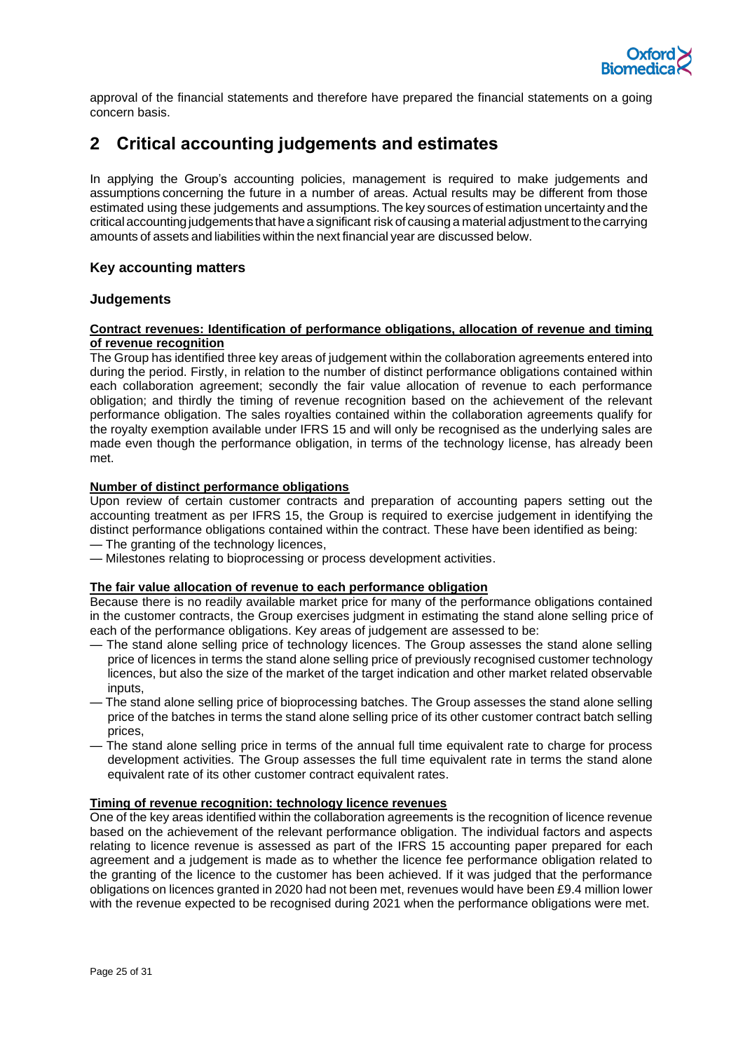

approval of the financial statements and therefore have prepared the financial statements on a going concern basis.

### **2 Critical accounting judgements and estimates**

In applying the Group's accounting policies, management is required to make judgements and assumptions concerning the future in a number of areas. Actual results may be different from those estimated using these judgements and assumptions.The key sources of estimation uncertainty and the critical accountingjudgements that havea significant risk of causing a material adjustment tothe carrying amounts of assets and liabilities within the next financial year are discussed below.

#### **Key accounting matters**

#### **Judgements**

#### **Contract revenues: Identification of performance obligations, allocation of revenue and timing of revenue recognition**

The Group has identified three key areas of judgement within the collaboration agreements entered into during the period. Firstly, in relation to the number of distinct performance obligations contained within each collaboration agreement; secondly the fair value allocation of revenue to each performance obligation; and thirdly the timing of revenue recognition based on the achievement of the relevant performance obligation. The sales royalties contained within the collaboration agreements qualify for the royalty exemption available under IFRS 15 and will only be recognised as the underlying sales are made even though the performance obligation, in terms of the technology license, has already been met.

#### **Number of distinct performance obligations**

Upon review of certain customer contracts and preparation of accounting papers setting out the accounting treatment as per IFRS 15, the Group is required to exercise judgement in identifying the distinct performance obligations contained within the contract. These have been identified as being:

- The granting of the technology licences,
- Milestones relating to bioprocessing or process development activities.

#### **The fair value allocation of revenue to each performance obligation**

Because there is no readily available market price for many of the performance obligations contained in the customer contracts, the Group exercises judgment in estimating the stand alone selling price of each of the performance obligations. Key areas of judgement are assessed to be:

- The stand alone selling price of technology licences. The Group assesses the stand alone selling price of licences in terms the stand alone selling price of previously recognised customer technology licences, but also the size of the market of the target indication and other market related observable inputs,
- The stand alone selling price of bioprocessing batches. The Group assesses the stand alone selling price of the batches in terms the stand alone selling price of its other customer contract batch selling prices,
- The stand alone selling price in terms of the annual full time equivalent rate to charge for process development activities. The Group assesses the full time equivalent rate in terms the stand alone equivalent rate of its other customer contract equivalent rates.

#### **Timing of revenue recognition: technology licence revenues**

One of the key areas identified within the collaboration agreements is the recognition of licence revenue based on the achievement of the relevant performance obligation. The individual factors and aspects relating to licence revenue is assessed as part of the IFRS 15 accounting paper prepared for each agreement and a judgement is made as to whether the licence fee performance obligation related to the granting of the licence to the customer has been achieved. If it was judged that the performance obligations on licences granted in 2020 had not been met, revenues would have been £9.4 million lower with the revenue expected to be recognised during 2021 when the performance obligations were met.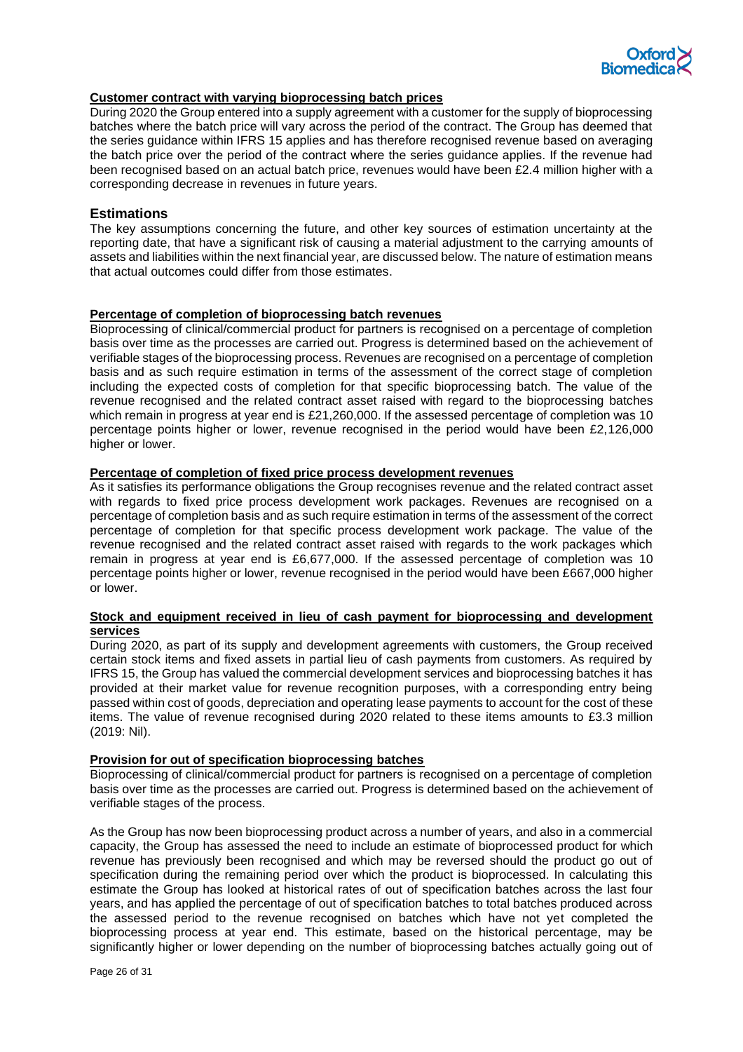

#### **Customer contract with varying bioprocessing batch prices**

During 2020 the Group entered into a supply agreement with a customer for the supply of bioprocessing batches where the batch price will vary across the period of the contract. The Group has deemed that the series guidance within IFRS 15 applies and has therefore recognised revenue based on averaging the batch price over the period of the contract where the series guidance applies. If the revenue had been recognised based on an actual batch price, revenues would have been £2.4 million higher with a corresponding decrease in revenues in future years.

#### **Estimations**

The key assumptions concerning the future, and other key sources of estimation uncertainty at the reporting date, that have a significant risk of causing a material adjustment to the carrying amounts of assets and liabilities within the next financial year, are discussed below. The nature of estimation means that actual outcomes could differ from those estimates.

#### **Percentage of completion of bioprocessing batch revenues**

Bioprocessing of clinical/commercial product for partners is recognised on a percentage of completion basis over time as the processes are carried out. Progress is determined based on the achievement of verifiable stages of the bioprocessing process. Revenues are recognised on a percentage of completion basis and as such require estimation in terms of the assessment of the correct stage of completion including the expected costs of completion for that specific bioprocessing batch. The value of the revenue recognised and the related contract asset raised with regard to the bioprocessing batches which remain in progress at year end is £21,260,000. If the assessed percentage of completion was 10 percentage points higher or lower, revenue recognised in the period would have been £2,126,000 higher or lower.

#### **Percentage of completion of fixed price process development revenues**

As it satisfies its performance obligations the Group recognises revenue and the related contract asset with regards to fixed price process development work packages. Revenues are recognised on a percentage of completion basis and as such require estimation in terms of the assessment of the correct percentage of completion for that specific process development work package. The value of the revenue recognised and the related contract asset raised with regards to the work packages which remain in progress at year end is £6,677,000. If the assessed percentage of completion was 10 percentage points higher or lower, revenue recognised in the period would have been £667,000 higher or lower.

#### **Stock and equipment received in lieu of cash payment for bioprocessing and development services**

During 2020, as part of its supply and development agreements with customers, the Group received certain stock items and fixed assets in partial lieu of cash payments from customers. As required by IFRS 15, the Group has valued the commercial development services and bioprocessing batches it has provided at their market value for revenue recognition purposes, with a corresponding entry being passed within cost of goods, depreciation and operating lease payments to account for the cost of these items. The value of revenue recognised during 2020 related to these items amounts to £3.3 million (2019: Nil).

#### **Provision for out of specification bioprocessing batches**

Bioprocessing of clinical/commercial product for partners is recognised on a percentage of completion basis over time as the processes are carried out. Progress is determined based on the achievement of verifiable stages of the process.

As the Group has now been bioprocessing product across a number of years, and also in a commercial capacity, the Group has assessed the need to include an estimate of bioprocessed product for which revenue has previously been recognised and which may be reversed should the product go out of specification during the remaining period over which the product is bioprocessed. In calculating this estimate the Group has looked at historical rates of out of specification batches across the last four years, and has applied the percentage of out of specification batches to total batches produced across the assessed period to the revenue recognised on batches which have not yet completed the bioprocessing process at year end. This estimate, based on the historical percentage, may be significantly higher or lower depending on the number of bioprocessing batches actually going out of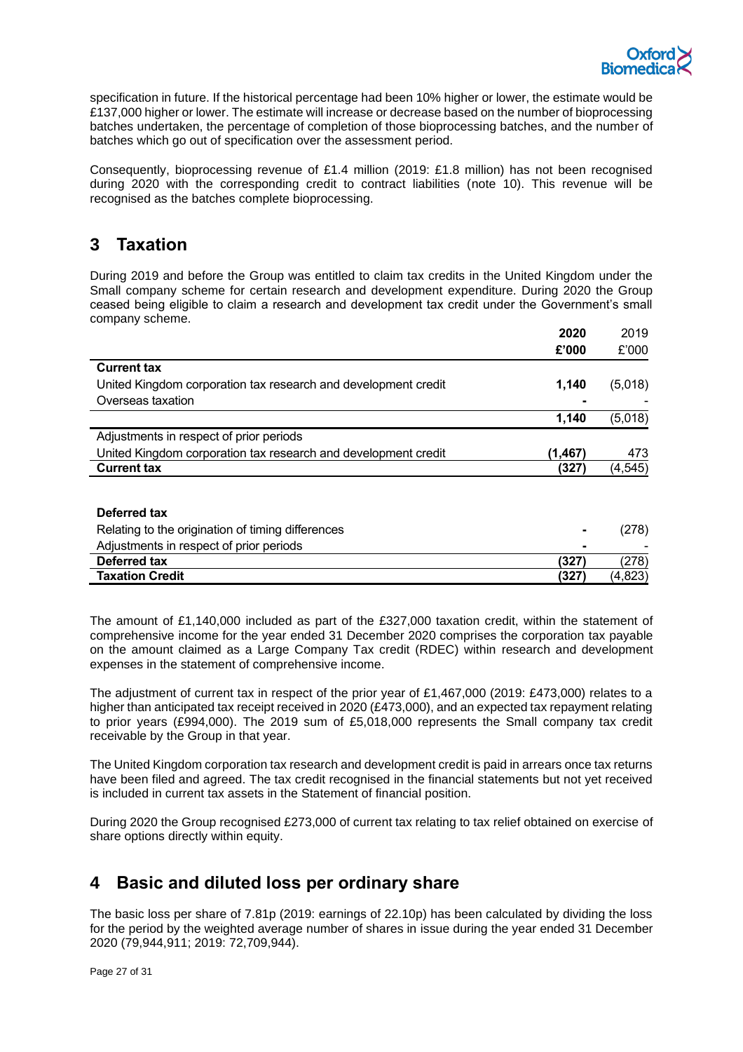

specification in future. If the historical percentage had been 10% higher or lower, the estimate would be £137,000 higher or lower. The estimate will increase or decrease based on the number of bioprocessing batches undertaken, the percentage of completion of those bioprocessing batches, and the number of batches which go out of specification over the assessment period.

Consequently, bioprocessing revenue of £1.4 million (2019: £1.8 million) has not been recognised during 2020 with the corresponding credit to contract liabilities (note 10). This revenue will be recognised as the batches complete bioprocessing.

### **3 Taxation**

During 2019 and before the Group was entitled to claim tax credits in the United Kingdom under the Small company scheme for certain research and development expenditure. During 2020 the Group ceased being eligible to claim a research and development tax credit under the Government's small company scheme.

|                                                                | 2020    | 2019     |
|----------------------------------------------------------------|---------|----------|
|                                                                | £'000   | £'000    |
| <b>Current tax</b>                                             |         |          |
| United Kingdom corporation tax research and development credit | 1,140   | (5,018)  |
| Overseas taxation                                              |         |          |
|                                                                | 1,140   | (5,018)  |
| Adjustments in respect of prior periods                        |         |          |
| United Kingdom corporation tax research and development credit | (1,467) | 473      |
| <b>Current tax</b>                                             | (327)   | (4, 545) |
|                                                                |         |          |
| Deferred tax                                                   |         |          |
| Relating to the origination of timing differences              |         | (278)    |
| Adjustments in respect of prior periods                        |         |          |
| Deferred tax                                                   | (327)   | (278)    |
| <b>Taxation Credit</b>                                         | (327    | (4, 823) |
|                                                                |         |          |

The amount of £1,140,000 included as part of the £327,000 taxation credit, within the statement of comprehensive income for the year ended 31 December 2020 comprises the corporation tax payable on the amount claimed as a Large Company Tax credit (RDEC) within research and development expenses in the statement of comprehensive income.

The adjustment of current tax in respect of the prior year of £1,467,000 (2019: £473,000) relates to a higher than anticipated tax receipt received in 2020 (£473,000), and an expected tax repayment relating to prior years (£994,000). The 2019 sum of £5,018,000 represents the Small company tax credit receivable by the Group in that year.

The United Kingdom corporation tax research and development credit is paid in arrears once tax returns have been filed and agreed. The tax credit recognised in the financial statements but not yet received is included in current tax assets in the Statement of financial position.

During 2020 the Group recognised £273,000 of current tax relating to tax relief obtained on exercise of share options directly within equity.

### **4 Basic and diluted loss per ordinary share**

The basic loss per share of 7.81p (2019: earnings of 22.10p) has been calculated by dividing the loss for the period by the weighted average number of shares in issue during the year ended 31 December 2020 (79,944,911; 2019: 72,709,944).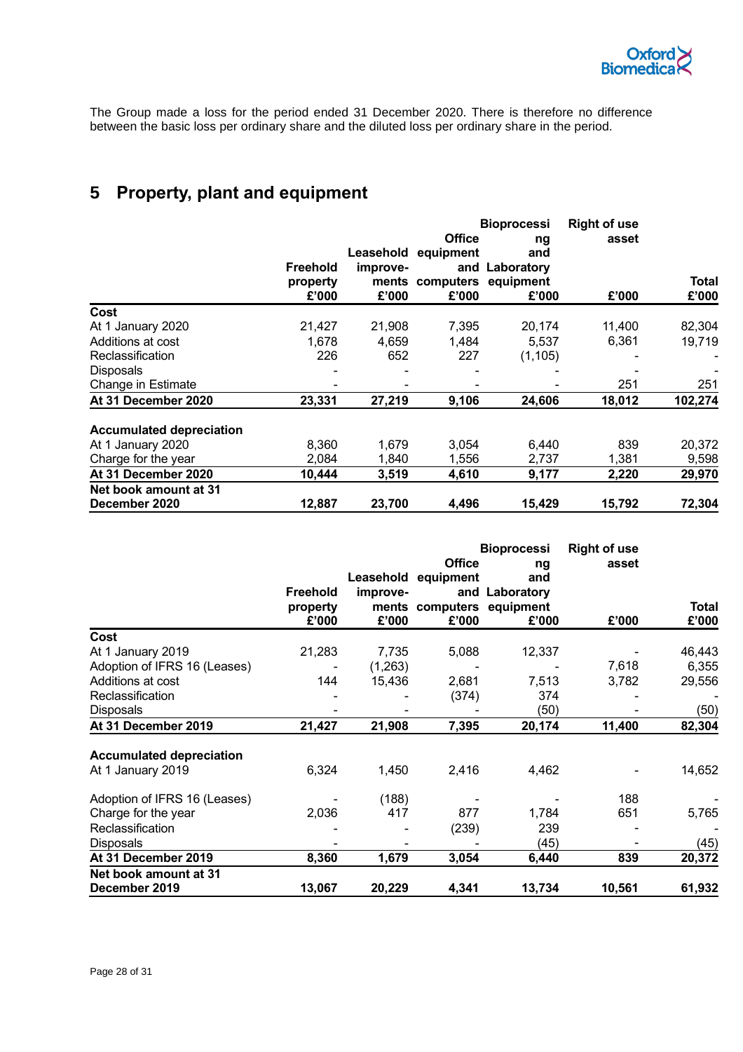

The Group made a loss for the period ended 31 December 2020. There is therefore no difference between the basic loss per ordinary share and the diluted loss per ordinary share in the period.

## **5 Property, plant and equipment**

|                                 |                 |           |               | <b>Bioprocessi</b> | <b>Right of use</b> |         |  |
|---------------------------------|-----------------|-----------|---------------|--------------------|---------------------|---------|--|
|                                 |                 |           | <b>Office</b> | ng                 | asset               |         |  |
|                                 |                 | Leasehold | equipment     | and                |                     |         |  |
|                                 | <b>Freehold</b> | improve-  |               | and Laboratory     |                     |         |  |
|                                 | property        | ments     | computers     | equipment          |                     | Total   |  |
|                                 | £'000           | £'000     | £'000         | £'000              | £'000               | £'000   |  |
| Cost                            |                 |           |               |                    |                     |         |  |
| At 1 January 2020               | 21,427          | 21,908    | 7,395         | 20,174             | 11,400              | 82,304  |  |
| Additions at cost               | 1,678           | 4,659     | 1,484         | 5.537              | 6,361               | 19,719  |  |
| Reclassification                | 226             | 652       | 227           | (1, 105)           |                     |         |  |
| <b>Disposals</b>                |                 |           |               |                    |                     |         |  |
| Change in Estimate              |                 |           |               |                    | 251                 | 251     |  |
| At 31 December 2020             | 23,331          | 27,219    | 9,106         | 24,606             | 18,012              | 102,274 |  |
| <b>Accumulated depreciation</b> |                 |           |               |                    |                     |         |  |
| At 1 January 2020               | 8,360           | 1,679     | 3,054         | 6,440              | 839                 | 20,372  |  |
| Charge for the year             | 2,084           | 1,840     | 1,556         | 2,737              | 1,381               | 9,598   |  |
| At 31 December 2020             | 10,444          | 3,519     | 4,610         | 9,177              | 2,220               | 29,970  |  |
| Net book amount at 31           |                 |           |               |                    |                     |         |  |
| December 2020                   | 12,887          | 23,700    | 4,496         | 15,429             | 15,792              | 72,304  |  |

|                                 |                 |          |                     | <b>Bioprocessi</b>        | <b>Right of use</b> |              |
|---------------------------------|-----------------|----------|---------------------|---------------------------|---------------------|--------------|
|                                 |                 |          | <b>Office</b>       | ng                        | asset               |              |
|                                 |                 |          | Leasehold equipment | and                       |                     |              |
|                                 | <b>Freehold</b> | improve- |                     | and Laboratory            |                     |              |
|                                 | property        |          |                     | ments computers equipment |                     | <b>Total</b> |
|                                 | £'000           | £'000    | £'000               | £'000                     | £'000               | £'000        |
| Cost                            |                 |          |                     |                           |                     |              |
| At 1 January 2019               | 21,283          | 7,735    | 5,088               | 12,337                    |                     | 46,443       |
| Adoption of IFRS 16 (Leases)    |                 | (1,263)  |                     |                           | 7,618               | 6,355        |
| Additions at cost               | 144             | 15,436   | 2,681               | 7,513                     | 3,782               | 29,556       |
| Reclassification                |                 |          | (374)               | 374                       |                     |              |
| Disposals                       |                 |          |                     | (50)                      |                     | (50)         |
| At 31 December 2019             | 21,427          | 21,908   | 7,395               | 20,174                    | 11,400              | 82,304       |
| <b>Accumulated depreciation</b> |                 |          |                     |                           |                     |              |
| At 1 January 2019               | 6,324           | 1,450    | 2,416               | 4,462                     |                     | 14,652       |
| Adoption of IFRS 16 (Leases)    |                 | (188)    |                     |                           | 188                 |              |
| Charge for the year             | 2,036           | 417      | 877                 | 1,784                     | 651                 | 5,765        |
| Reclassification                |                 |          | (239)               | 239                       |                     |              |
| <b>Disposals</b>                |                 |          |                     | (45)                      |                     | (45)         |
| At 31 December 2019             | 8,360           | 1,679    | 3,054               | 6,440                     | 839                 | 20,372       |
| Net book amount at 31           |                 |          |                     |                           |                     |              |
| December 2019                   | 13,067          | 20,229   | 4,341               | 13,734                    | 10,561              | 61,932       |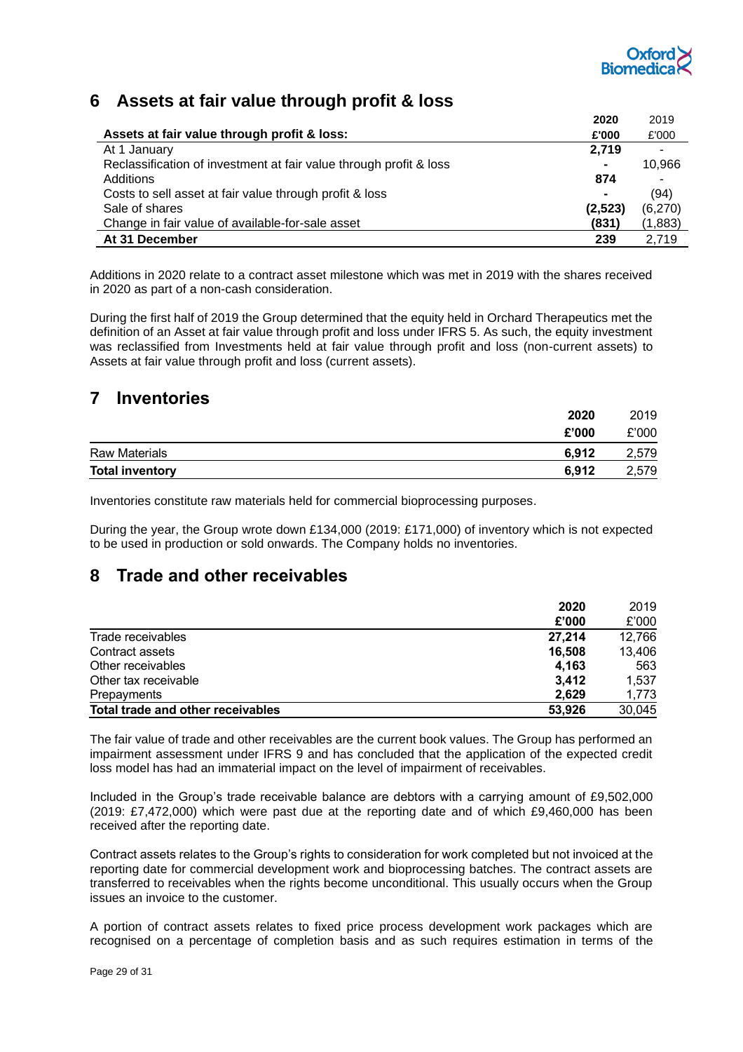

### **6 Assets at fair value through profit & loss**

|                                                                    | 2020           | 2019    |
|--------------------------------------------------------------------|----------------|---------|
| Assets at fair value through profit & loss:                        | £'000          | £'000   |
| At 1 January                                                       | 2,719          | ٠       |
| Reclassification of investment at fair value through profit & loss | $\blacksquare$ | 10,966  |
| Additions                                                          | 874            | -       |
| Costs to sell asset at fair value through profit & loss            | $\blacksquare$ | (94)    |
| Sale of shares                                                     | (2, 523)       | (6,270) |
| Change in fair value of available-for-sale asset                   | (831)          | (1,883) |
| At 31 December                                                     | 239            | 2.719   |

Additions in 2020 relate to a contract asset milestone which was met in 2019 with the shares received in 2020 as part of a non-cash consideration.

During the first half of 2019 the Group determined that the equity held in Orchard Therapeutics met the definition of an Asset at fair value through profit and loss under IFRS 5. As such, the equity investment was reclassified from Investments held at fair value through profit and loss (non-current assets) to Assets at fair value through profit and loss (current assets).

### **7 Inventories**

|                        | 2020  | 2019  |
|------------------------|-------|-------|
|                        | £'000 | £'000 |
| <b>Raw Materials</b>   | 6.912 | 2,579 |
| <b>Total inventory</b> | 6,912 | 2,579 |

Inventories constitute raw materials held for commercial bioprocessing purposes.

During the year, the Group wrote down £134,000 (2019: £171,000) of inventory which is not expected to be used in production or sold onwards. The Company holds no inventories.

### **8 Trade and other receivables**

| 2020                                        | 2019   |
|---------------------------------------------|--------|
| £'000                                       | £'000  |
| 27.214<br>Trade receivables                 | 12,766 |
| 16.508<br>Contract assets                   | 13,406 |
| Other receivables<br>4.163                  | 563    |
| 3.412<br>Other tax receivable               | 1,537  |
| 2.629<br>Prepayments                        | 1.773  |
| Total trade and other receivables<br>53,926 | 30,045 |

The fair value of trade and other receivables are the current book values. The Group has performed an impairment assessment under IFRS 9 and has concluded that the application of the expected credit loss model has had an immaterial impact on the level of impairment of receivables.

Included in the Group's trade receivable balance are debtors with a carrying amount of £9,502,000 (2019: £7,472,000) which were past due at the reporting date and of which £9,460,000 has been received after the reporting date.

Contract assets relates to the Group's rights to consideration for work completed but not invoiced at the reporting date for commercial development work and bioprocessing batches. The contract assets are transferred to receivables when the rights become unconditional. This usually occurs when the Group issues an invoice to the customer.

A portion of contract assets relates to fixed price process development work packages which are recognised on a percentage of completion basis and as such requires estimation in terms of the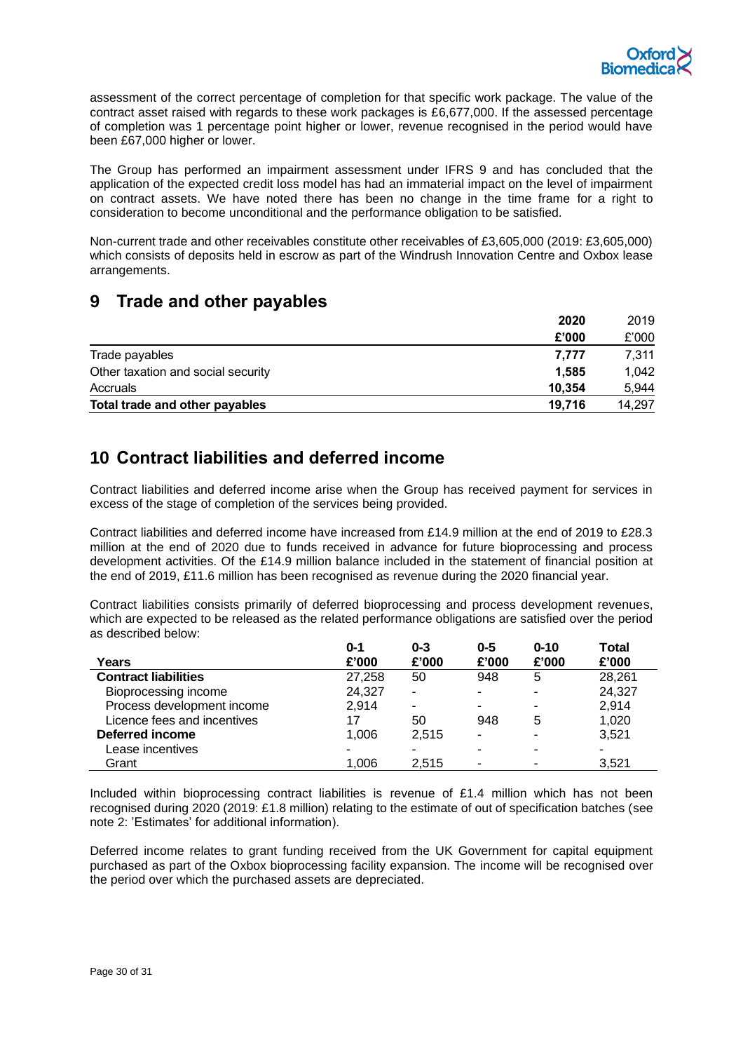assessment of the correct percentage of completion for that specific work package. The value of the contract asset raised with regards to these work packages is £6,677,000. If the assessed percentage of completion was 1 percentage point higher or lower, revenue recognised in the period would have been £67,000 higher or lower.

The Group has performed an impairment assessment under IFRS 9 and has concluded that the application of the expected credit loss model has had an immaterial impact on the level of impairment on contract assets. We have noted there has been no change in the time frame for a right to consideration to become unconditional and the performance obligation to be satisfied.

Non-current trade and other receivables constitute other receivables of £3,605,000 (2019: £3,605,000) which consists of deposits held in escrow as part of the Windrush Innovation Centre and Oxbox lease arrangements.

### **9 Trade and other payables**

| Total trade and other payables     | 19.716 | 14,297 |
|------------------------------------|--------|--------|
| Accruals                           | 10.354 | 5,944  |
| Other taxation and social security | 1.585  | 1.042  |
| Trade payables                     | 7.777  | 7.311  |
|                                    | £'000  | £'000  |
|                                    | 2020   | 2019   |

### **10 Contract liabilities and deferred income**

Contract liabilities and deferred income arise when the Group has received payment for services in excess of the stage of completion of the services being provided.

Contract liabilities and deferred income have increased from £14.9 million at the end of 2019 to £28.3 million at the end of 2020 due to funds received in advance for future bioprocessing and process development activities. Of the £14.9 million balance included in the statement of financial position at the end of 2019, £11.6 million has been recognised as revenue during the 2020 financial year.

Contract liabilities consists primarily of deferred bioprocessing and process development revenues, which are expected to be released as the related performance obligations are satisfied over the period as described below:

|                             | $0 - 1$ | $0 - 3$                  | $0 - 5$        | $0 - 10$ | Total                    |
|-----------------------------|---------|--------------------------|----------------|----------|--------------------------|
| Years                       | £'000   | £'000                    | £'000          | £'000    | £'000                    |
| <b>Contract liabilities</b> | 27,258  | 50                       | 948            | 5        | 28,261                   |
| Bioprocessing income        | 24,327  |                          | ٠              |          | 24,327                   |
| Process development income  | 2,914   | $\overline{\phantom{0}}$ |                |          | 2,914                    |
| Licence fees and incentives | 17      | 50                       | 948            | 5        | 1,020                    |
| Deferred income             | 1.006   | 2,515                    | -              |          | 3,521                    |
| Lease incentives            |         |                          | -              |          | $\overline{\phantom{0}}$ |
| Grant                       | 1.006   | 2.515                    | $\blacksquare$ |          | 3.521                    |

Included within bioprocessing contract liabilities is revenue of £1.4 million which has not been recognised during 2020 (2019: £1.8 million) relating to the estimate of out of specification batches (see note 2: 'Estimates' for additional information).

Deferred income relates to grant funding received from the UK Government for capital equipment purchased as part of the Oxbox bioprocessing facility expansion. The income will be recognised over the period over which the purchased assets are depreciated.